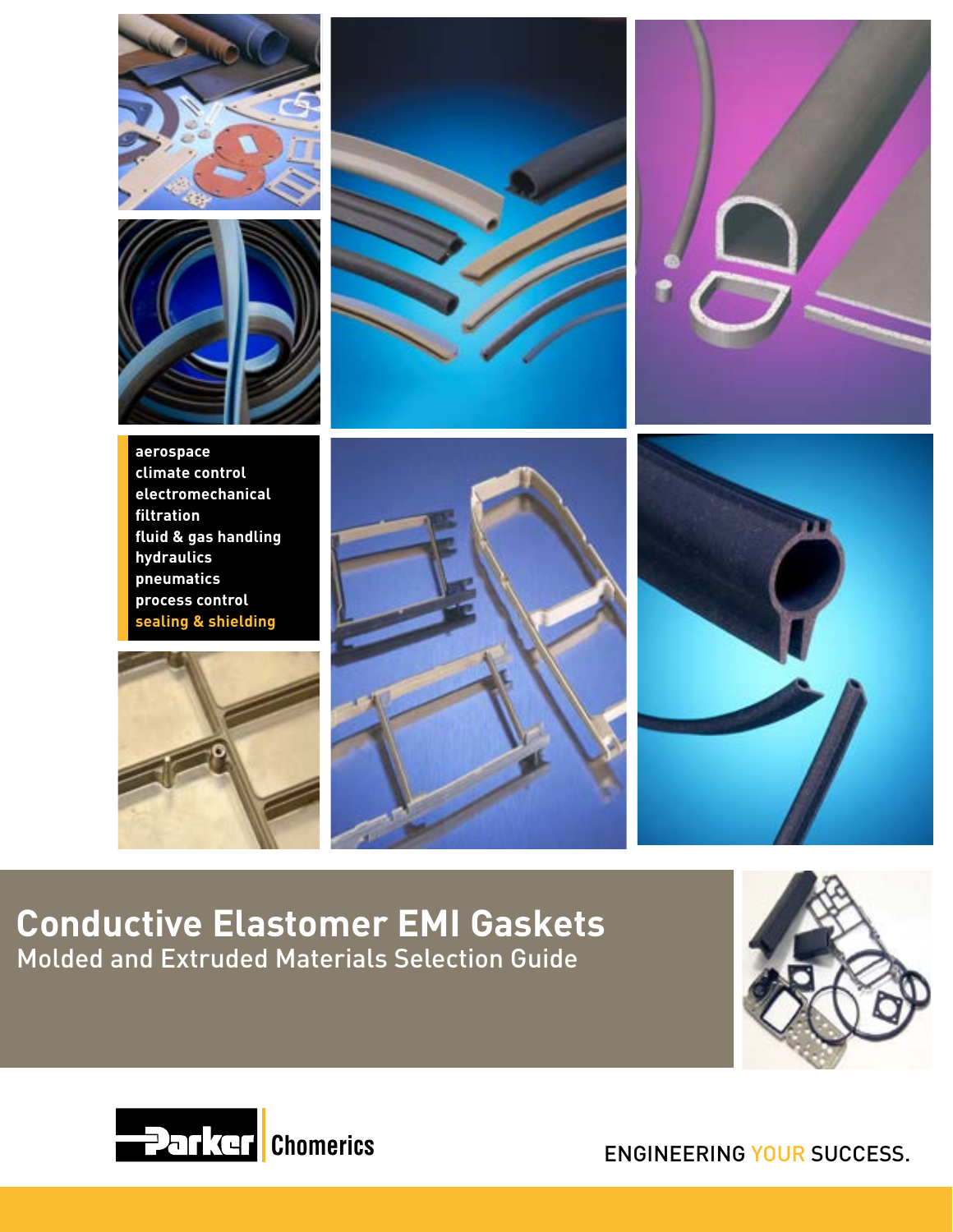







**aerospace climate control electromechanical filtration fluid & gas handling hydraulics pneumatics process control sealing & shielding**







# **Conductive Elastomer EMI Gaskets** Molded and Extruded Materials Selection Guide





ENGINEERING YOUR SUCCESS.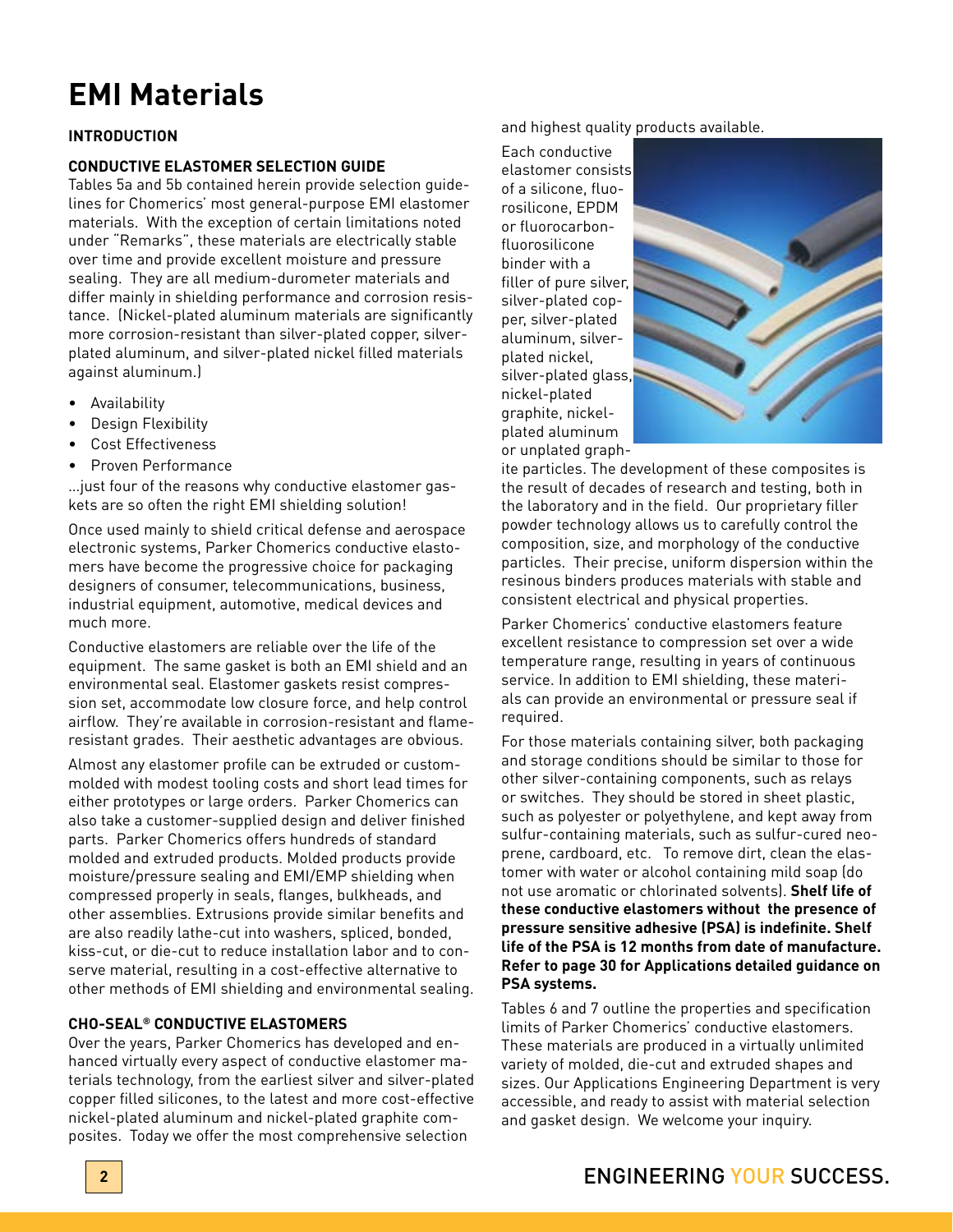# **EMI Materials**

# **INTRODUCTION**

# **CONDUCTIVE ELASTOMER SELECTION GUIDE**

Tables 5a and 5b contained herein provide selection guidelines for Chomerics' most general-purpose EMI elastomer materials. With the exception of certain limitations noted under "Remarks", these materials are electrically stable over time and provide excellent moisture and pressure sealing. They are all medium-durometer materials and differ mainly in shielding performance and corrosion resistance. (Nickel-plated aluminum materials are significantly more corrosion-resistant than silver-plated copper, silverplated aluminum, and silver-plated nickel filled materials against aluminum.)

- Availability
- Design Flexibility
- Cost Effectiveness
- Proven Performance

…just four of the reasons why conductive elastomer gaskets are so often the right EMI shielding solution!

Once used mainly to shield critical defense and aerospace electronic systems, Parker Chomerics conductive elastomers have become the progressive choice for packaging designers of consumer, telecommunications, business, industrial equipment, automotive, medical devices and much more.

Conductive elastomers are reliable over the life of the equipment. The same gasket is both an EMI shield and an environmental seal. Elastomer gaskets resist compression set, accommodate low closure force, and help control airflow. They're available in corrosion-resistant and flameresistant grades. Their aesthetic advantages are obvious.

Almost any elastomer profile can be extruded or custommolded with modest tooling costs and short lead times for either prototypes or large orders. Parker Chomerics can also take a customer-supplied design and deliver finished parts. Parker Chomerics offers hundreds of standard molded and extruded products. Molded products provide moisture/pressure sealing and EMI/EMP shielding when compressed properly in seals, flanges, bulkheads, and other assemblies. Extrusions provide similar benefits and are also readily lathe-cut into washers, spliced, bonded, kiss-cut, or die-cut to reduce installation labor and to conserve material, resulting in a cost-effective alternative to other methods of EMI shielding and environmental sealing.

# **CHO-SEAL® CONDUCTIVE ELASTOMERS**

Over the years, Parker Chomerics has developed and enhanced virtually every aspect of conductive elastomer materials technology, from the earliest silver and silver-plated copper filled silicones, to the latest and more cost-effective nickel-plated aluminum and nickel-plated graphite composites. Today we offer the most comprehensive selection

and highest quality products available.

Each conductive elastomer consists of a silicone, fluorosilicone, EPDM or fluorocarbonfluorosilicone binder with a filler of pure silver, silver-plated copper, silver-plated aluminum, silverplated nickel, silver-plated glass, nickel-plated graphite, nickelplated aluminum or unplated graph-



ite particles. The development of these composites is the result of decades of research and testing, both in the laboratory and in the field. Our proprietary filler powder technology allows us to carefully control the composition, size, and morphology of the conductive particles. Their precise, uniform dispersion within the resinous binders produces materials with stable and consistent electrical and physical properties.

Parker Chomerics' conductive elastomers feature excellent resistance to compression set over a wide temperature range, resulting in years of continuous service. In addition to EMI shielding, these materials can provide an environmental or pressure seal if required.

For those materials containing silver, both packaging and storage conditions should be similar to those for other silver-containing components, such as relays or switches. They should be stored in sheet plastic, such as polyester or polyethylene, and kept away from sulfur-containing materials, such as sulfur-cured neoprene, cardboard, etc. To remove dirt, clean the elastomer with water or alcohol containing mild soap (do not use aromatic or chlorinated solvents). **Shelf life of these conductive elastomers without the presence of pressure sensitive adhesive (PSA) is indefinite. Shelf life of the PSA is 12 months from date of manufacture. Refer to page 30 for Applications detailed guidance on PSA systems.**

Tables 6 and 7 outline the properties and specification limits of Parker Chomerics' conductive elastomers. These materials are produced in a virtually unlimited variety of molded, die-cut and extruded shapes and sizes. Our Applications Engineering Department is very accessible, and ready to assist with material selection and gasket design. We welcome your inquiry.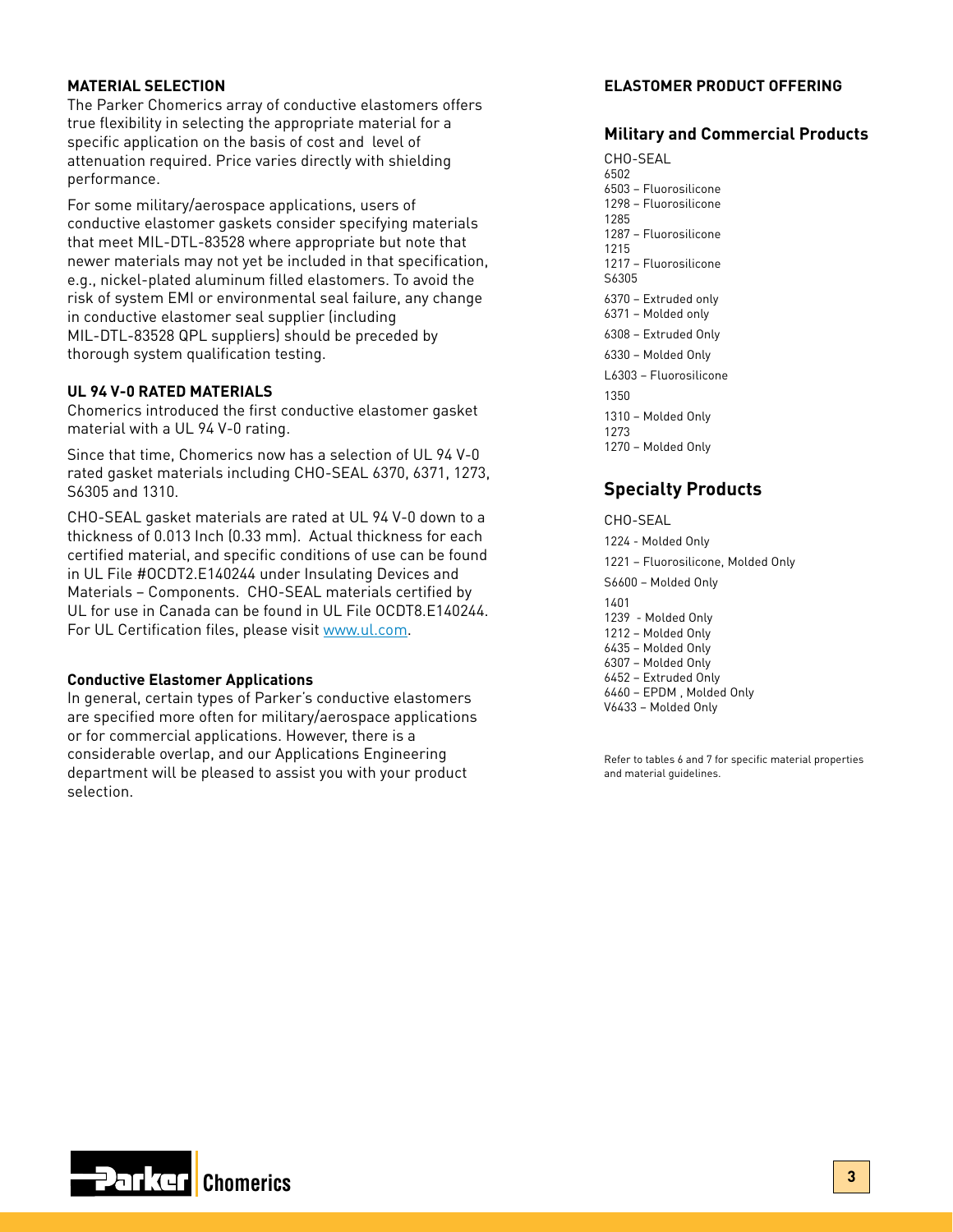# **MATERIAL SELECTION**

The Parker Chomerics array of conductive elastomers offers true flexibility in selecting the appropriate material for a specific application on the basis of cost and level of attenuation required. Price varies directly with shielding performance.

For some military/aerospace applications, users of conductive elastomer gaskets consider specifying materials that meet MIL-DTL-83528 where appropriate but note that newer materials may not yet be included in that specification, e.g., nickel-plated aluminum filled elastomers. To avoid the risk of system EMI or environmental seal failure, any change in conductive elastomer seal supplier (including MIL-DTL-83528 QPL suppliers) should be preceded by thorough system qualification testing.

# **UL 94 V-0 RATED MATERIALS**

Chomerics introduced the first conductive elastomer gasket material with a UL 94 V-0 rating.

Since that time, Chomerics now has a selection of UL 94 V-0 rated gasket materials including CHO-SEAL 6370, 6371, 1273, S6305 and 1310.

CHO-SEAL gasket materials are rated at UL 94 V-0 down to a thickness of 0.013 Inch (0.33 mm). Actual thickness for each certified material, and specific conditions of use can be found in UL File #OCDT2.E140244 under Insulating Devices and Materials – Components. CHO-SEAL materials certified by UL for use in Canada can be found in UL File OCDT8.E140244. For UL Certification files, please visit [www.ul.com.](www.ul.com)

# **Conductive Elastomer Applications**

In general, certain types of Parker's conductive elastomers are specified more often for military/aerospace applications or for commercial applications. However, there is a considerable overlap, and our Applications Engineering department will be pleased to assist you with your product selection.

# **ELASTOMER PRODUCT OFFERING**

# **Military and Commercial Products**

CHO-SEAL 6502 6503 – Fluorosilicone 1298 – Fluorosilicone 1285 1287 – Fluorosilicone 1215 1217 – Fluorosilicone S6305 6370 – Extruded only 6371 – Molded only 6308 – Extruded Only 6330 – Molded Only L6303 – Fluorosilicone 1350 1310 – Molded Only 1273 1270 – Molded Only

# **Specialty Products**

CHO-SEAL 1224 - Molded Only 1221 – Fluorosilicone, Molded Only S6600 – Molded Only 1401 1239 - Molded Only 1212 – Molded Only 6435 – Molded Only 6307 – Molded Only 6452 – Extruded Only 6460 – EPDM , Molded Only V6433 – Molded Only

Refer to tables 6 and 7 for specific material properties and material guidelines.

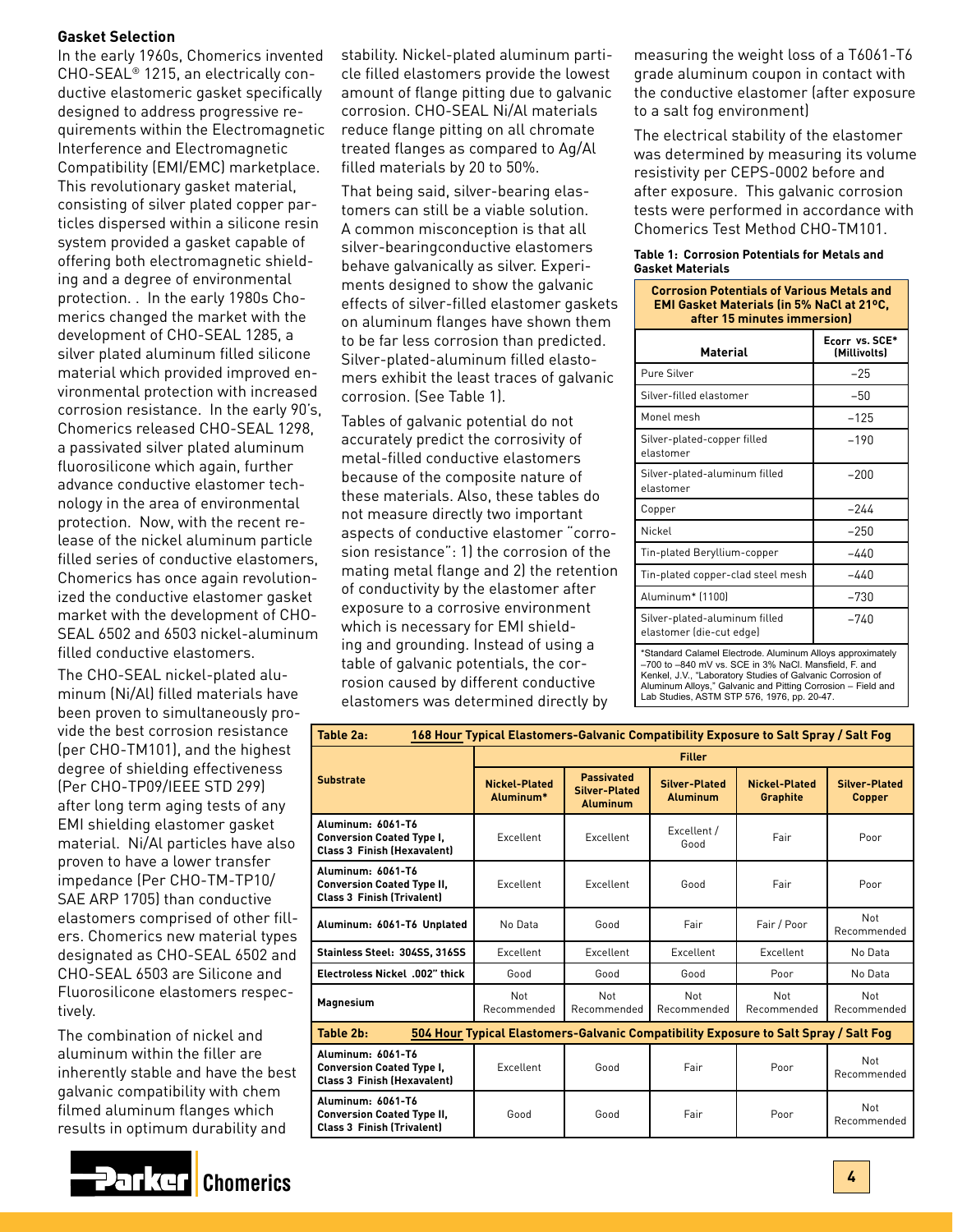# **Gasket Selection**

In the early 1960s, Chomerics invented CHO-SEAL® 1215, an electrically conductive elastomeric gasket specifically designed to address progressive requirements within the Electromagnetic Interference and Electromagnetic Compatibility (EMI/EMC) marketplace. This revolutionary gasket material, consisting of silver plated copper particles dispersed within a silicone resin system provided a gasket capable of offering both electromagnetic shielding and a degree of environmental protection. . In the early 1980s Chomerics changed the market with the development of CHO-SEAL 1285, a silver plated aluminum filled silicone material which provided improved environmental protection with increased corrosion resistance. In the early 90's, Chomerics released CHO-SEAL 1298, a passivated silver plated aluminum fluorosilicone which again, further advance conductive elastomer technology in the area of environmental protection. Now, with the recent release of the nickel aluminum particle filled series of conductive elastomers, Chomerics has once again revolutionized the conductive elastomer gasket market with the development of CHO-SEAL 6502 and 6503 nickel-aluminum filled conductive elastomers.

The CHO-SEAL nickel-plated aluminum (Ni/Al) filled materials have been proven to simultaneously provide the best corrosion resistance (per CHO-TM101), and the highest degree of shielding effectiveness (Per CHO-TP09/IEEE STD 299) after long term aging tests of any EMI shielding elastomer gasket material. Ni/Al particles have also proven to have a lower transfer impedance (Per CHO-TM-TP10/ SAE ARP 1705) than conductive elastomers comprised of other fillers. Chomerics new material types designated as CHO-SEAL 6502 and CHO-SEAL 6503 are Silicone and Fluorosilicone elastomers respectively.

The combination of nickel and aluminum within the filler are inherently stable and have the best galvanic compatibility with chem filmed aluminum flanges which results in optimum durability and



stability. Nickel-plated aluminum particle filled elastomers provide the lowest amount of flange pitting due to galvanic corrosion. CHO-SEAL Ni/Al materials reduce flange pitting on all chromate treated flanges as compared to Ag/Al filled materials by 20 to 50%.

That being said, silver-bearing elastomers can still be a viable solution. A common misconception is that all silver-bearingconductive elastomers behave galvanically as silver. Experiments designed to show the galvanic effects of silver-filled elastomer gaskets on aluminum flanges have shown them to be far less corrosion than predicted. Silver-plated-aluminum filled elastomers exhibit the least traces of galvanic corrosion. (See Table 1).

Tables of galvanic potential do not accurately predict the corrosivity of metal-filled conductive elastomers because of the composite nature of these materials. Also, these tables do not measure directly two important aspects of conductive elastomer "corrosion resistance": 1) the corrosion of the mating metal flange and 2) the retention of conductivity by the elastomer after exposure to a corrosive environment which is necessary for EMI shielding and grounding. Instead of using a table of galvanic potentials, the corrosion caused by different conductive elastomers was determined directly by

measuring the weight loss of a T6061-T6 grade aluminum coupon in contact with the conductive elastomer (after exposure to a salt fog environment)

The electrical stability of the elastomer was determined by measuring its volume resistivity per CEPS-0002 before and after exposure. This galvanic corrosion tests were performed in accordance with Chomerics Test Method CHO-TM101.

#### **Table 1: Corrosion Potentials for Metals and Gasket Materials**

| <b>Corrosion Potentials of Various Metals and</b><br><b>EMI Gasket Materials (in 5% NaCl at 21°C.</b><br>after 15 minutes immersion)                                                                                                                                                             |                                |  |  |  |  |  |
|--------------------------------------------------------------------------------------------------------------------------------------------------------------------------------------------------------------------------------------------------------------------------------------------------|--------------------------------|--|--|--|--|--|
| <b>Material</b>                                                                                                                                                                                                                                                                                  | Ecorr vs. SCE*<br>(Millivolts) |  |  |  |  |  |
| Pure Silver                                                                                                                                                                                                                                                                                      | $-25$                          |  |  |  |  |  |
| Silver-filled elastomer                                                                                                                                                                                                                                                                          | $-50$                          |  |  |  |  |  |
| Monel mesh                                                                                                                                                                                                                                                                                       | $-125$                         |  |  |  |  |  |
| Silver-plated-copper filled<br>elastomer                                                                                                                                                                                                                                                         | $-190$                         |  |  |  |  |  |
| Silver-plated-aluminum filled<br>elastomer                                                                                                                                                                                                                                                       | $-200$                         |  |  |  |  |  |
| Copper                                                                                                                                                                                                                                                                                           | $-244$                         |  |  |  |  |  |
| Nickel                                                                                                                                                                                                                                                                                           | $-250$                         |  |  |  |  |  |
| Tin-plated Beryllium-copper                                                                                                                                                                                                                                                                      | $-440$                         |  |  |  |  |  |
| Tin-plated copper-clad steel mesh                                                                                                                                                                                                                                                                | $-440$                         |  |  |  |  |  |
| Aluminum* (1100)                                                                                                                                                                                                                                                                                 | $-730$                         |  |  |  |  |  |
| Silver-plated-aluminum filled<br>$-740$<br>elastomer (die-cut edge)                                                                                                                                                                                                                              |                                |  |  |  |  |  |
| *Standard Calamel Electrode. Aluminum Alloys approximately<br>-700 to -840 mV vs. SCE in 3% NaCl. Mansfield, F. and<br>Kenkel, J.V., "Laboratory Studies of Galvanic Corrosion of<br>Aluminum Alloys," Galvanic and Pitting Corrosion - Field and<br>Lab Studies, ASTM STP 576, 1976, pp. 20-47. |                                |  |  |  |  |  |

| Table 2a:<br>168 Hour Typical Elastomers-Galvanic Compatibility Exposure to Salt Spray / Salt Fog |                                                                                      |                                                                                                  |                     |                                  |                                |  |  |
|---------------------------------------------------------------------------------------------------|--------------------------------------------------------------------------------------|--------------------------------------------------------------------------------------------------|---------------------|----------------------------------|--------------------------------|--|--|
|                                                                                                   | <b>Filler</b>                                                                        |                                                                                                  |                     |                                  |                                |  |  |
| <b>Substrate</b>                                                                                  | Nickel-Plated<br>Aluminum*                                                           | <b>Passivated</b><br><b>Silver-Plated</b><br>Silver-Plated<br><b>Aluminum</b><br><b>Aluminum</b> |                     | Nickel-Plated<br><b>Graphite</b> | <b>Silver-Plated</b><br>Copper |  |  |
| Aluminum: 6061-T6<br><b>Conversion Coated Type I,</b><br><b>Class 3 Finish (Hexavalent)</b>       | Excellent                                                                            | Excellent                                                                                        | Excellent /<br>Good | Fair                             | Poor                           |  |  |
| Aluminum: 6061-T6<br><b>Conversion Coated Type II,</b><br><b>Class 3 Finish (Trivalent)</b>       | Excellent                                                                            | Excellent                                                                                        | Good                | Fair                             | Poor                           |  |  |
| Aluminum: 6061-T6 Unplated                                                                        | No Data                                                                              | Fair<br>Good                                                                                     |                     | Fair / Poor                      | Not<br>Recommended             |  |  |
| Stainless Steel: 304SS, 316SS                                                                     | Excellent                                                                            | Excellent                                                                                        | Excellent           | Excellent                        | No Data                        |  |  |
| Electroless Nickel .002" thick                                                                    | Good                                                                                 | Good                                                                                             | Good                | Poor                             | No Data                        |  |  |
| <b>Magnesium</b>                                                                                  | Not<br>Recommended                                                                   | Not<br>Recommended                                                                               | Not<br>Recommended  | Not<br>Recommended               | Not<br>Recommended             |  |  |
| Table 2b:                                                                                         | 504 Hour Typical Elastomers-Galvanic Compatibility Exposure to Salt Spray / Salt Fog |                                                                                                  |                     |                                  |                                |  |  |
| Aluminum: 6061-T6<br><b>Conversion Coated Type I,</b><br><b>Class 3 Finish (Hexavalent)</b>       | Excellent                                                                            | Good                                                                                             | Fair                | Poor                             | Not<br>Recommended             |  |  |
| Aluminum: 6061-T6<br><b>Conversion Coated Type II,</b><br><b>Class 3 Finish (Trivalent)</b>       | Good                                                                                 | Good                                                                                             | Fair                | Poor                             | Not<br>Recommended             |  |  |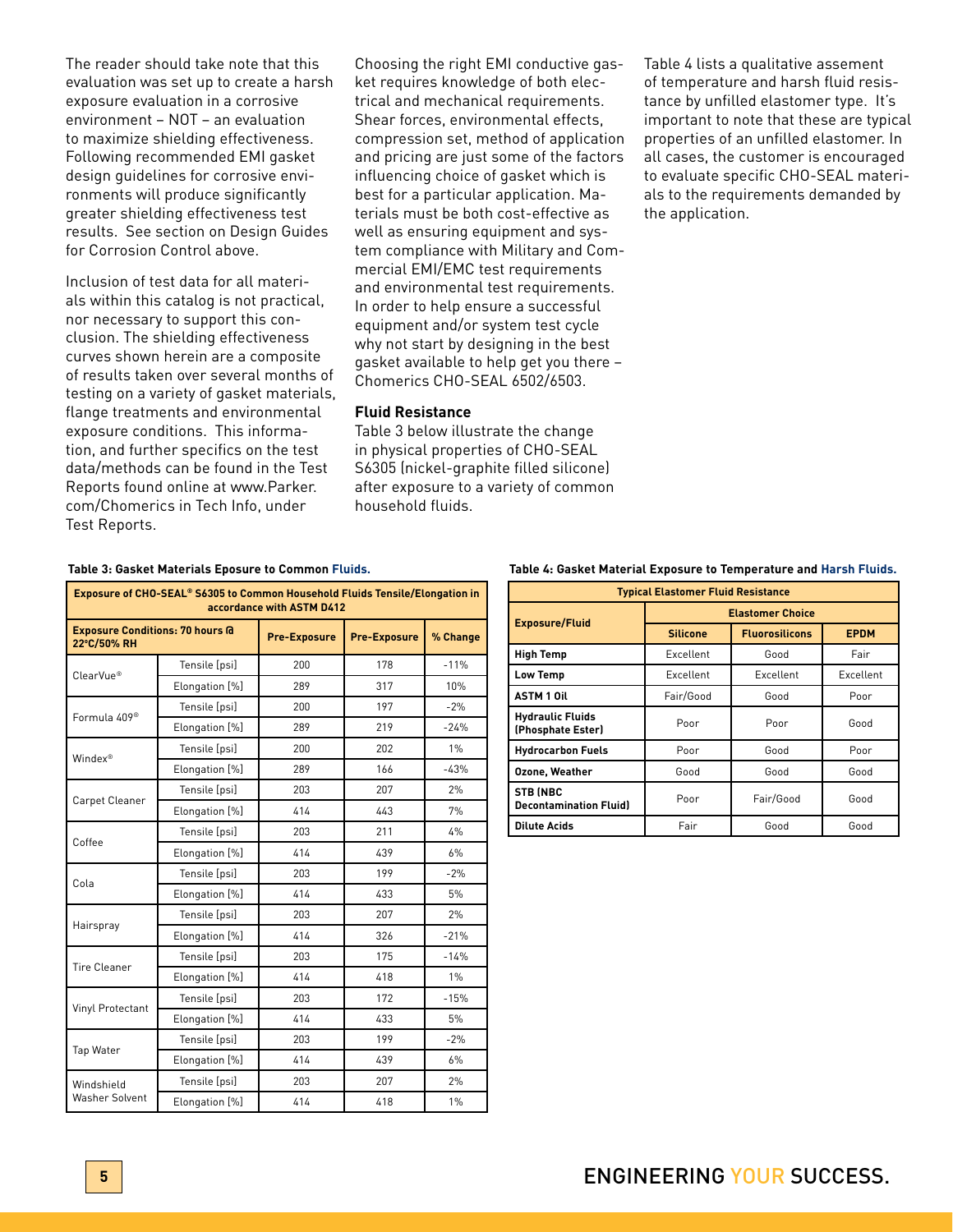The reader should take note that this evaluation was set up to create a harsh exposure evaluation in a corrosive environment – NOT – an evaluation to maximize shielding effectiveness. Following recommended EMI gasket design guidelines for corrosive environments will produce significantly greater shielding effectiveness test results. See section on Design Guides for Corrosion Control above.

Inclusion of test data for all materials within this catalog is not practical, nor necessary to support this conclusion. The shielding effectiveness curves shown herein are a composite of results taken over several months of testing on a variety of gasket materials, flange treatments and environmental exposure conditions. This information, and further specifics on the test data/methods can be found in the Test Reports found online at www.Parker. com/Chomerics in Tech Info, under Test Reports.

Choosing the right EMI conductive gasket requires knowledge of both electrical and mechanical requirements. Shear forces, environmental effects, compression set, method of application and pricing are just some of the factors influencing choice of gasket which is best for a particular application. Materials must be both cost-effective as well as ensuring equipment and system compliance with Military and Commercial EMI/EMC test requirements and environmental test requirements. In order to help ensure a successful equipment and/or system test cycle why not start by designing in the best gasket available to help get you there – Chomerics CHO-SEAL 6502/6503.

# **Fluid Resistance**

Table 3 below illustrate the change in physical properties of CHO-SEAL S6305 (nickel-graphite filled silicone) after exposure to a variety of common household fluids.

Table 4 lists a qualitative assement of temperature and harsh fluid resistance by unfilled elastomer type. It's important to note that these are typical properties of an unfilled elastomer. In all cases, the customer is encouraged to evaluate specific CHO-SEAL materials to the requirements demanded by the application.

#### **Table 3: Gasket Materials Eposure to Common Fluids.**

| Exposure of CHO-SEAL® S6305 to Common Household Fluids Tensile/Elongation in<br>accordance with ASTM D412 |                |                     |                     |          |  |  |  |  |  |  |
|-----------------------------------------------------------------------------------------------------------|----------------|---------------------|---------------------|----------|--|--|--|--|--|--|
| <b>Exposure Conditions: 70 hours @</b><br>22°C/50% RH                                                     |                | <b>Pre-Exposure</b> | <b>Pre-Exposure</b> | % Change |  |  |  |  |  |  |
| ClearVue®                                                                                                 | Tensile [psi]  | 200                 | 178                 | $-11%$   |  |  |  |  |  |  |
|                                                                                                           | Elongation [%] | 289                 | 317                 | 10%      |  |  |  |  |  |  |
| Formula 409 <sup>®</sup>                                                                                  | Tensile [psi]  | 200                 | 197                 | $-2%$    |  |  |  |  |  |  |
|                                                                                                           | Elongation [%] | 289                 | 219                 | $-24%$   |  |  |  |  |  |  |
| Windex®                                                                                                   | Tensile [psi]  | 200                 | 202                 | 1%       |  |  |  |  |  |  |
|                                                                                                           | Elongation [%] | 289                 | 166                 | $-43%$   |  |  |  |  |  |  |
| Carpet Cleaner                                                                                            | Tensile [psi]  | 203                 | 207                 | 2%       |  |  |  |  |  |  |
|                                                                                                           | Elongation [%] | 414                 | 443                 | 7%       |  |  |  |  |  |  |
| Coffee                                                                                                    | Tensile [psi]  | 203                 | 211                 | 4%       |  |  |  |  |  |  |
|                                                                                                           | Elongation [%] | 414                 | 439                 | 6%       |  |  |  |  |  |  |
| Cola                                                                                                      | Tensile [psi]  | 203                 | 199                 | $-2%$    |  |  |  |  |  |  |
|                                                                                                           | Elongation [%] | 414                 | 433                 | 5%       |  |  |  |  |  |  |
|                                                                                                           | Tensile [psi]  | 203                 | 207                 | 2%       |  |  |  |  |  |  |
| Hairspray                                                                                                 | Elongation [%] | 414                 | 326                 | $-21%$   |  |  |  |  |  |  |
| <b>Tire Cleaner</b>                                                                                       | Tensile [psi]  | 203                 | 175                 | $-14%$   |  |  |  |  |  |  |
|                                                                                                           | Elongation [%] | 414                 | 418                 | 1%       |  |  |  |  |  |  |
|                                                                                                           | Tensile [psi]  | 203                 | 172                 | $-15%$   |  |  |  |  |  |  |
| Vinyl Protectant                                                                                          | Elongation [%] | 414                 | 433                 | 5%       |  |  |  |  |  |  |
|                                                                                                           | Tensile [psi]  | 203                 | 199                 | $-2%$    |  |  |  |  |  |  |
| Tap Water                                                                                                 | Elongation [%] | 414                 | 439                 | 6%       |  |  |  |  |  |  |
| Windshield                                                                                                | Tensile [psi]  | 203                 | 207                 | 2%       |  |  |  |  |  |  |
| <b>Washer Solvent</b>                                                                                     | Elongation [%] | 414                 | 418                 | $1\%$    |  |  |  |  |  |  |

#### **Table 4: Gasket Material Exposure to Temperature and Harsh Fluids.**

| <b>Typical Elastomer Fluid Resistance</b>        |                  |                         |             |  |  |  |  |  |
|--------------------------------------------------|------------------|-------------------------|-------------|--|--|--|--|--|
| <b>Exposure/Fluid</b>                            |                  | <b>Elastomer Choice</b> |             |  |  |  |  |  |
|                                                  | <b>Silicone</b>  | <b>Fluorosilicons</b>   | <b>EPDM</b> |  |  |  |  |  |
| <b>High Temp</b>                                 | Excellent        | Good                    | Fair        |  |  |  |  |  |
| <b>Low Temp</b>                                  | <b>Excellent</b> | <b>Excellent</b>        | Excellent   |  |  |  |  |  |
| <b>ASTM 1 Oil</b>                                | Fair/Good        | Good                    | Poor        |  |  |  |  |  |
| <b>Hydraulic Fluids</b><br>(Phosphate Ester)     | Poor<br>Poor     |                         | Good        |  |  |  |  |  |
| <b>Hydrocarbon Fuels</b>                         | Poor             | Good                    | Poor        |  |  |  |  |  |
| <b>Ozone, Weather</b>                            | Good             | Good                    | Good        |  |  |  |  |  |
| <b>STB (NBC</b><br><b>Decontamination Fluid)</b> | Poor             | Fair/Good               | Good        |  |  |  |  |  |
| <b>Dilute Acids</b>                              | Fair             | Good                    | Good        |  |  |  |  |  |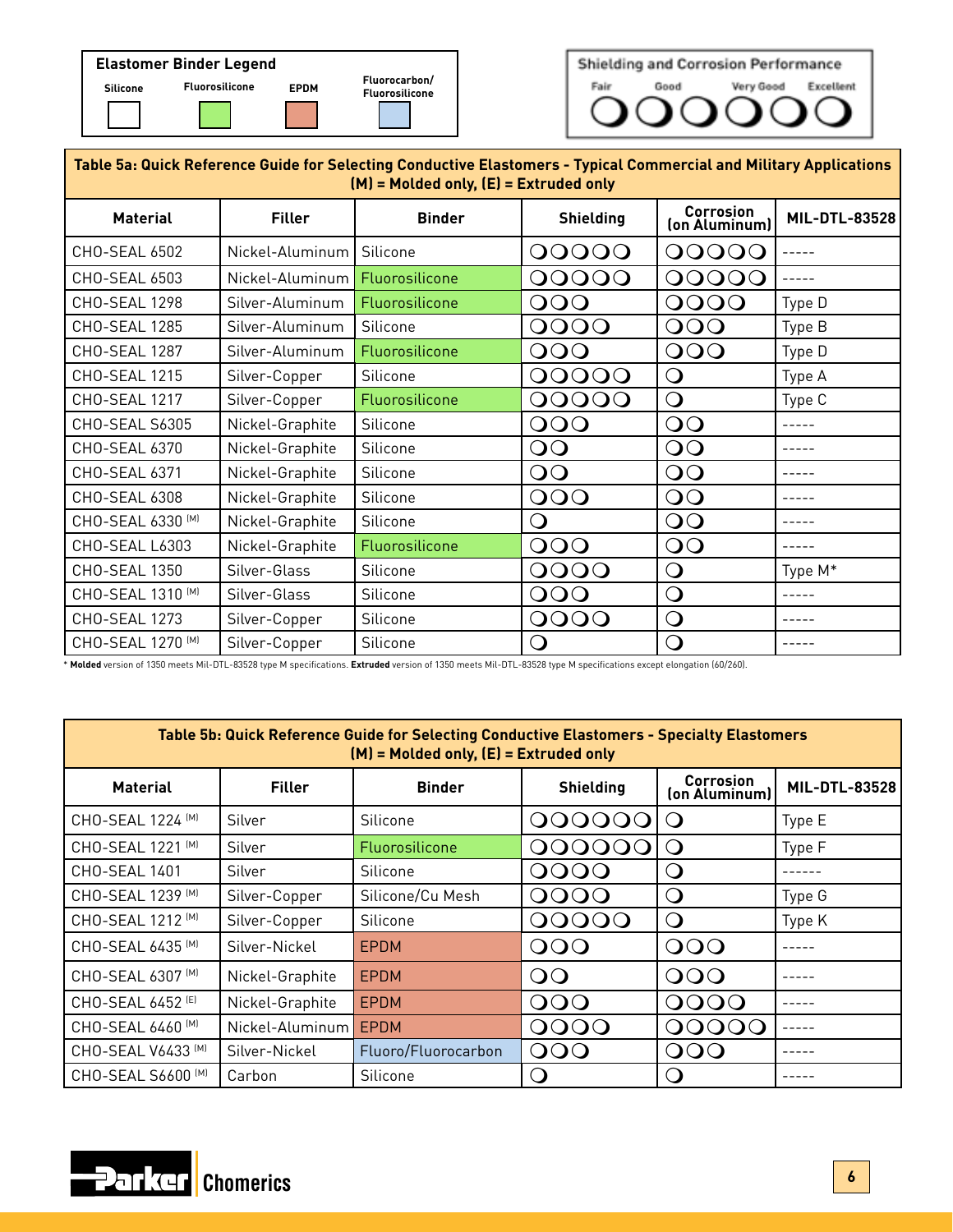



| Table 5a: Quick Reference Guide for Selecting Conductive Elastomers - Typical Commercial and Military Applications<br>$(M)$ = Molded only, $(E)$ = Extruded only |                 |                |                      |                            |               |  |  |  |  |  |
|------------------------------------------------------------------------------------------------------------------------------------------------------------------|-----------------|----------------|----------------------|----------------------------|---------------|--|--|--|--|--|
| <b>Material</b>                                                                                                                                                  | <b>Filler</b>   | <b>Binder</b>  | <b>Shielding</b>     | Corrosion<br>(on Aluminum) | MIL-DTL-83528 |  |  |  |  |  |
| CHO-SEAL 6502                                                                                                                                                    | Nickel-Aluminum | Silicone       | OOOOO                | OOOOO                      |               |  |  |  |  |  |
| CHO-SEAL 6503                                                                                                                                                    | Nickel-Aluminum | Fluorosilicone | OOOOO                | OOOO<br>$\Omega$           | $- - - - -$   |  |  |  |  |  |
| CHO-SEAL 1298                                                                                                                                                    | Silver-Aluminum | Fluorosilicone | $\Omega$<br>$\Omega$ | OOOO                       | Type D        |  |  |  |  |  |
| CHO-SEAL 1285                                                                                                                                                    | Silver-Aluminum | Silicone       | OOOO                 | OOO                        | Type B        |  |  |  |  |  |
| CHO-SEAL 1287                                                                                                                                                    | Silver-Aluminum | Fluorosilicone | OOO                  | OOO                        | Type D        |  |  |  |  |  |
| CHO-SEAL 1215                                                                                                                                                    | Silver-Copper   | Silicone       | OOOOO                | Ő                          | Type A        |  |  |  |  |  |
| <b>CHO-SEAL 1217</b>                                                                                                                                             | Silver-Copper   | Fluorosilicone | OOOOO                | $\bigcirc$                 | Type C        |  |  |  |  |  |
| <b>CHO-SEAL S6305</b>                                                                                                                                            | Nickel-Graphite | Silicone       | OOO                  | OO                         | $- - - - -$   |  |  |  |  |  |
| CHO-SEAL 6370                                                                                                                                                    | Nickel-Graphite | Silicone       | OO                   | OO                         |               |  |  |  |  |  |
| CHO-SEAL 6371                                                                                                                                                    | Nickel-Graphite | Silicone       | OO                   | $\overline{O}$             |               |  |  |  |  |  |
| CHO-SEAL 6308                                                                                                                                                    | Nickel-Graphite | Silicone       | OOO                  | $\overline{O}$             |               |  |  |  |  |  |
| CHO-SEAL 6330 [M]                                                                                                                                                | Nickel-Graphite | Silicone       | $\mathbf C$          | $\overline{O}$             |               |  |  |  |  |  |
| CHO-SEAL L6303                                                                                                                                                   | Nickel-Graphite | Fluorosilicone | OOO                  | OO                         |               |  |  |  |  |  |
| CHO-SEAL 1350                                                                                                                                                    | Silver-Glass    | Silicone       | OOOO                 | $\bigcirc$                 | Type M*       |  |  |  |  |  |
| CHO-SEAL 1310 [M]                                                                                                                                                | Silver-Glass    | Silicone       | OOO                  | $\bigcirc$                 | -----         |  |  |  |  |  |
| CHO-SEAL 1273                                                                                                                                                    | Silver-Copper   | Silicone       | OOOO                 | $\bigcirc$                 |               |  |  |  |  |  |
| CHO-SEAL 1270 [M]                                                                                                                                                | Silver-Copper   | Silicone       | $\bigcirc$           | $\bigcirc$                 |               |  |  |  |  |  |

\* **Molded** version of 1350 meets Mil-DTL-83528 type M specifications. **Extruded** version of 1350 meets Mil-DTL-83528 type M specifications except elongation (60/260).

| Table 5b: Quick Reference Guide for Selecting Conductive Elastomers - Specialty Elastomers<br>$(M)$ = Molded only, $(E)$ = Extruded only |                 |                     |                                   |                  |               |  |  |  |  |  |
|------------------------------------------------------------------------------------------------------------------------------------------|-----------------|---------------------|-----------------------------------|------------------|---------------|--|--|--|--|--|
| <b>Material</b>                                                                                                                          | <b>Filler</b>   | <b>Binder</b>       | <b>Shielding</b><br>(on Aluminum) |                  | MIL-DTL-83528 |  |  |  |  |  |
| CHO-SEAL 1224 [M]                                                                                                                        | Silver          | Silicone            | 00000                             | $\left( \right)$ | Type E        |  |  |  |  |  |
| CHO-SEAL 1221 [M]                                                                                                                        | Silver          | Fluorosilicone      | OOOO                              | $\cup$           | Type F        |  |  |  |  |  |
| <b>CHO-SEAL 1401</b>                                                                                                                     | Silver          | Silicone            | OOOO                              | $\left( \right)$ |               |  |  |  |  |  |
| CHO-SEAL 1239 [M]                                                                                                                        | Silver-Copper   | Silicone/Cu Mesh    | OOOO                              | $\Omega$         | Type G        |  |  |  |  |  |
| CHO-SEAL 1212 [M]                                                                                                                        | Silver-Copper   | Silicone            | OOOOO                             | $\Omega$         | Type K        |  |  |  |  |  |
| CHO-SEAL 6435 [M]                                                                                                                        | Silver-Nickel   | <b>EPDM</b>         | OOO                               | <b>OOO</b>       |               |  |  |  |  |  |
| CHO-SEAL 6307 [M]                                                                                                                        | Nickel-Graphite | EPDM                | $\overline{O}$                    | OOO              |               |  |  |  |  |  |
| CHO-SEAL 6452 <sup>(E)</sup>                                                                                                             | Nickel-Graphite | EPDM                | $\Omega$                          | O(OO)            |               |  |  |  |  |  |
| CHO-SEAL 6460 [M]                                                                                                                        | Nickel-Aluminum | EPDM                | O(O)                              | O(OO)            |               |  |  |  |  |  |
| CHO-SEAL V6433 [M]                                                                                                                       | Silver-Nickel   | Fluoro/Fluorocarbon | OOO                               | OOO              |               |  |  |  |  |  |
| CHO-SEAL S6600 [M]                                                                                                                       | Carbon          | Silicone            | $\Box$                            | $\left( \right)$ |               |  |  |  |  |  |

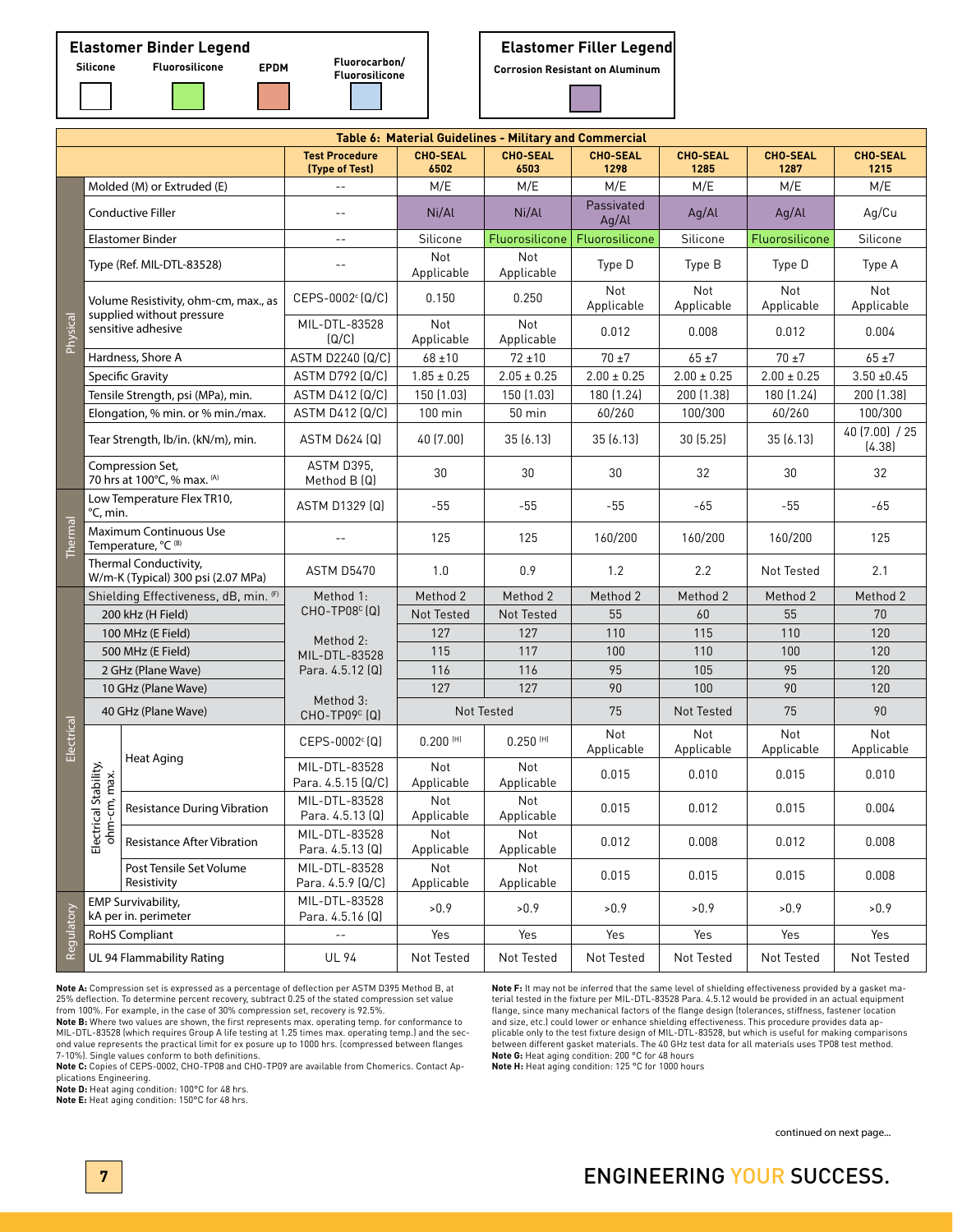**Fluorocarbon/**

# **Fluorosilicone Silicone Fluorosilicone EPDM Corrosion Resistant on Aluminum**

|                |                                                             |                                                                   |                                         |                         | Table 6: Material Guidelines - Military and Commercial |                         |                         |                         |                          |
|----------------|-------------------------------------------------------------|-------------------------------------------------------------------|-----------------------------------------|-------------------------|--------------------------------------------------------|-------------------------|-------------------------|-------------------------|--------------------------|
|                |                                                             |                                                                   | <b>Test Procedure</b><br>(Type of Test) | <b>CHO-SEAL</b><br>6502 | <b>CHO-SEAL</b><br>6503                                | <b>CHO-SEAL</b><br>1298 | <b>CHO-SEAL</b><br>1285 | <b>CHO-SEAL</b><br>1287 | <b>CHO-SEAL</b><br>1215  |
|                |                                                             | Molded (M) or Extruded (E)                                        | $-$                                     | M/E                     | M/E                                                    | M/E                     | M/E                     | M/E                     | M/E                      |
|                |                                                             | Conductive Filler                                                 | $- -$                                   | Ni/Al                   | Ni/Al                                                  | Passivated<br>Ag/Al     | Aq/Al                   | Aq/Al                   | Ag/Cu                    |
|                |                                                             | <b>Elastomer Binder</b>                                           | $- -$                                   | Silicone                | Fluorosilicone                                         | Fluorosilicone          | Silicone                | Fluorosilicone          | Silicone                 |
|                |                                                             | Type (Ref. MIL-DTL-83528)                                         | $ -$                                    | Not<br>Applicable       | Not<br>Applicable                                      | Type D                  | Type B                  | Type D                  | Type A                   |
|                |                                                             | Volume Resistivity, ohm-cm, max., as<br>supplied without pressure | $CEPS-0002c (Q/C)$                      | 0.150                   | 0.250                                                  | Not<br>Applicable       | Not<br>Applicable       | Not<br>Applicable       | Not<br>Applicable        |
| Physical       |                                                             | sensitive adhesive                                                | MIL-DTL-83528<br>(Q/C)                  | Not<br>Applicable       | <b>Not</b><br>Applicable                               | 0.012                   | 0.008                   | 0.012                   | 0.004                    |
|                |                                                             | Hardness, Shore A                                                 | ASTM D2240 (Q/C)                        | $68 + 10$               | $72 + 10$                                              | $70 \pm 7$              | $65 + 7$                | $70 + 7$                | $65 \pm 7$               |
|                |                                                             | Specific Gravity                                                  | ASTM D792 (Q/C)                         | $1.85 \pm 0.25$         | $2.05 \pm 0.25$                                        | $2.00 \pm 0.25$         | $2.00 \pm 0.25$         | $2.00 \pm 0.25$         | $3.50 + 0.45$            |
|                |                                                             | Tensile Strength, psi (MPa), min.                                 | <b>ASTM D412 (Q/C)</b>                  | 150 (1.03)              | 150 (1.03)                                             | 180 (1.24)              | 200 (1.38)              | 180 (1.24)              | 200 (1.38)               |
|                |                                                             | Elongation, % min. or % min./max.                                 | ASTM D412 (Q/C)                         | 100 min                 | $50$ min                                               | 60/260                  | 100/300                 | 60/260                  | 100/300                  |
|                |                                                             | Tear Strength, lb/in. (kN/m), min.                                | ASTM D624 (Q)                           | 40 (7.00)               | 35(6.13)                                               | 35(6.13)                | 30(5.25)                | 35(6.13)                | 40 (7.00) / 25<br>(4.38) |
|                |                                                             | Compression Set,<br>70 hrs at 100°C, % max. (A)                   | ASTM D395,<br>Method B (Q)              | 30                      | 30                                                     | 30                      | 32                      | 30                      | 32                       |
|                | Low Temperature Flex TR10,<br>°C, min.                      |                                                                   | <b>ASTM D1329 [Q]</b>                   | $-55$                   | $-55$                                                  | $-55$                   | -65                     | $-55$                   | $-65$                    |
| <b>Thermal</b> | Maximum Continuous Use<br>Temperature, °C (B)               |                                                                   |                                         | 125                     | 125                                                    | 160/200                 | 160/200                 | 160/200                 | 125                      |
|                | Thermal Conductivity,<br>W/m-K (Typical) 300 psi (2.07 MPa) |                                                                   | <b>ASTM D5470</b>                       | 1.0                     | 0.9                                                    | 1.2                     | 2.2                     | Not Tested              | 2.1                      |
|                |                                                             | Shielding Effectiveness, dB, min. (F)<br>Method 1:                |                                         | Method 2                | Method 2                                               | Method 2                | Method 2                | Method 2                | Method 2                 |
|                |                                                             | 200 kHz (H Field)                                                 | $CHO-TP08c(Q)$                          | Not Tested              | Not Tested                                             | 55                      | 60                      | 55                      | 70                       |
|                |                                                             | 100 MHz (E Field)                                                 | Method 2:                               | 127                     | 127                                                    | 110                     | 115                     | 110                     | 120                      |
|                |                                                             | 500 MHz (E Field)                                                 | MIL-DTL-83528                           | 115                     | 117                                                    | 100                     | 110                     | 100                     | 120                      |
|                |                                                             | 2 GHz (Plane Wave)                                                | Para. 4.5.12 (Q)                        | 116                     | 116                                                    | 95                      | 105                     | 95                      | 120                      |
|                |                                                             | 10 GHz (Plane Wave)                                               | Method 3:                               | 127                     | 127                                                    | 90                      | 100                     | 90                      | 120                      |
|                |                                                             | 40 GHz (Plane Wave)                                               | CHO-TP09 <sup>c</sup> (Q)               |                         | Not Tested                                             | 75                      | Not Tested              | 75                      | 90                       |
| Electrical     |                                                             | Heat Aging                                                        | $CEPS-0002c$ (Q)                        | $0.200$ <sup>(H)</sup>  | $0.250$ <sup>(H)</sup>                                 | Not<br>Applicable       | Not<br>Applicable       | Not<br>Applicable       | Not<br>Applicable        |
|                | al Stability,                                               |                                                                   | MIL-DTL-83528<br>Para. 4.5.15 (Q/C)     | Not<br>Applicable       | Not<br>Applicable                                      | 0.015                   | 0.010                   | 0.015                   | 0.010                    |
|                | cm, max.                                                    | <b>Resistance During Vibration</b>                                | MIL-DTL-83528<br>Para. 4.5.13 (Q)       | Not<br>Applicable       | Not<br>Applicable                                      | 0.015                   | 0.012                   | 0.015                   | 0.004                    |
|                | Electrica<br>ohm-                                           | <b>Resistance After Vibration</b>                                 | MIL-DTL-83528<br>Para. 4.5.13 (Q)       | Not<br>Applicable       | Not<br>Applicable                                      | 0.012                   | 0.008                   | 0.012                   | 0.008                    |
|                |                                                             | Post Tensile Set Volume<br>Resistivity                            | MIL-DTL-83528<br>Para. 4.5.9 (Q/C)      | Not<br>Applicable       | Not<br>Applicable                                      | 0.015                   | 0.015                   | 0.015                   | 0.008                    |
| Regulatory     |                                                             | <b>EMP Survivability,</b><br>kA per in. perimeter                 | MIL-DTL-83528<br>Para. 4.5.16 (Q)       | >0.9                    | >0.9                                                   | >0.9                    | >0.9                    | >0.9                    | >0.9                     |
|                |                                                             | <b>RoHS Compliant</b>                                             | $\overline{\phantom{a}}$                | Yes                     | Yes                                                    | Yes                     | Yes                     | Yes                     | Yes                      |
|                |                                                             | UL 94 Flammability Rating                                         | <b>UL 94</b>                            | Not Tested              | Not Tested                                             | Not Tested              | Not Tested              | Not Tested              | Not Tested               |

**Note A:** Compression set is expressed as a percentage of deflection per ASTM D395 Method B, at 25% deflection. To determine percent recovery, subtract 0.25 of the stated compression set value from 100%. For example, in the case of 30% compression set, recovery is 92.5%.

**Note B:** Where two values are shown, the first represents max. operating temp. for conformance to MIL-DTL-83528 (which requires Group A life testing at 1.25 times max. operating temp.) and the second value represents the practical limit for ex posure up to 1000 hrs. (compressed between flanges 7-10%). Single values conform to both definitions.

**Note C:** Copies of CEPS-0002, CHO-TP08 and CHO-TP09 are available from Chomerics. Contact Ap-

plications Engineering. **Note D:** Heat aging condition: 100°C for 48 hrs.

**Note E:** Heat aging condition: 150°C for 48 hrs.

**Note F:** It may not be inferred that the same level of shielding effectiveness provided by a gasket ma-<br>terial tested in the fixture per MIL-DTL-83528 Para. 4.5.12 would be provided in an actual equipment<br>flange, since ma and size, etc.) could lower or enhance shielding effectiveness. This procedure provides data ap-<br>plicable only to the test fixture design of MIL-DTL-83528, but which is useful for making comparisons<br>between different qaske **Note G:** Heat aging condition: 200 °C for 48 hours

**Note H:** Heat aging condition: 125 °C for 1000 hours

continued on next page...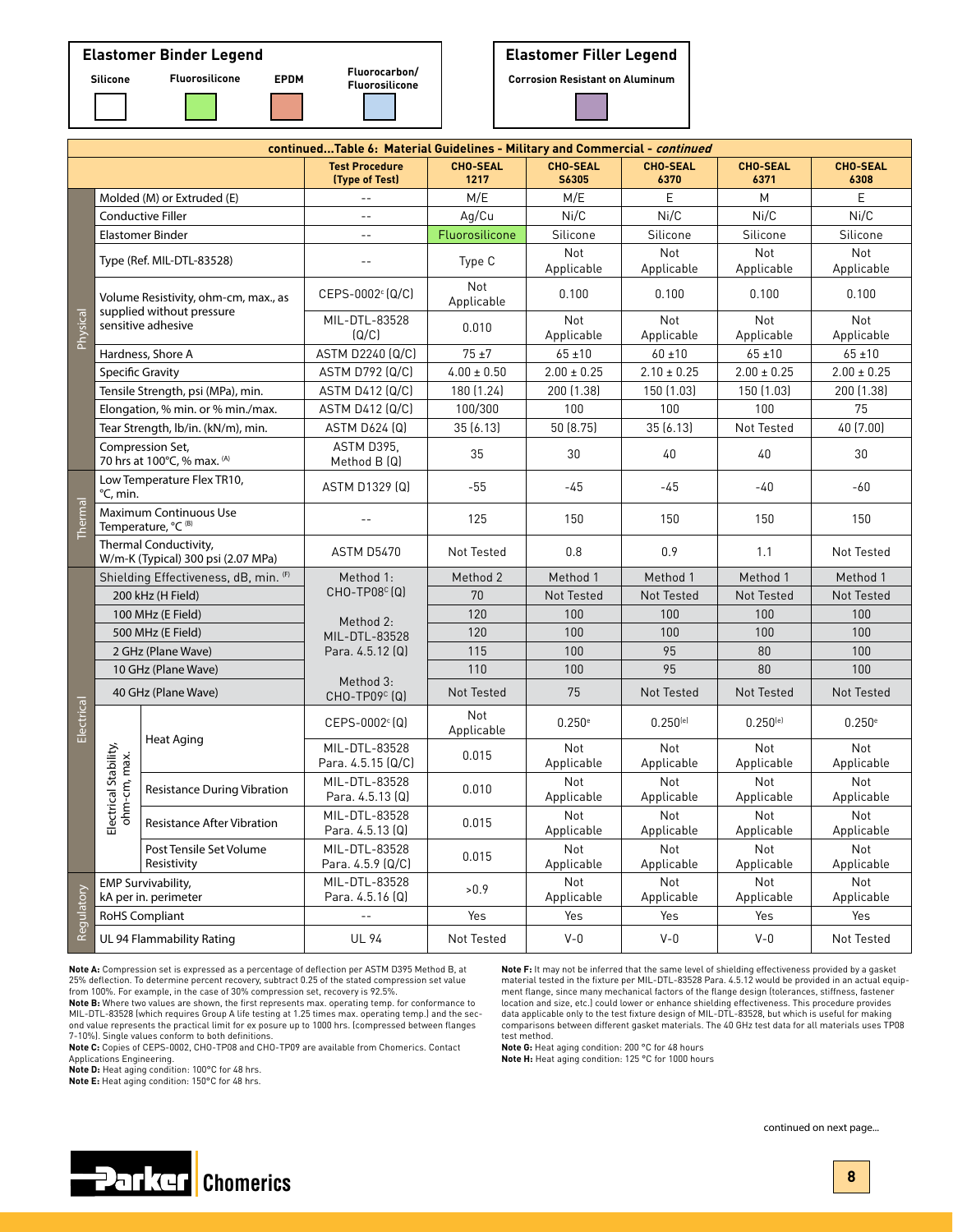

# **Elastomer Filler Legend**

**Fluorosilicone Corrosion Resistant on Aluminum**

| continuedTable 6: Material Guidelines - Military and Commercial - continued |                                                             |                                                                   |                                         |                          |                          |                         |                         |                         |
|-----------------------------------------------------------------------------|-------------------------------------------------------------|-------------------------------------------------------------------|-----------------------------------------|--------------------------|--------------------------|-------------------------|-------------------------|-------------------------|
|                                                                             |                                                             |                                                                   | <b>Test Procedure</b><br>(Type of Test) | <b>CHO-SEAL</b><br>1217  | <b>CHO-SEAL</b><br>S6305 | <b>CHO-SEAL</b><br>6370 | <b>CHO-SEAL</b><br>6371 | <b>CHO-SEAL</b><br>6308 |
|                                                                             |                                                             | Molded (M) or Extruded (E)                                        | $\sim$ $-$                              | M/E                      | M/E                      | E                       | M                       | E                       |
|                                                                             |                                                             | <b>Conductive Filler</b>                                          | $-$                                     | Ag/Cu                    | Ni/C                     | Ni/C                    | Ni/C                    | Ni/C                    |
|                                                                             | <b>Elastomer Binder</b>                                     |                                                                   | $-$                                     | Fluorosilicone           | Silicone                 | Silicone                | Silicone                | Silicone                |
|                                                                             |                                                             | Type (Ref. MIL-DTL-83528)                                         | $-$                                     | Type C                   | <b>Not</b><br>Applicable | Not<br>Applicable       | Not<br>Applicable       | Not<br>Applicable       |
|                                                                             |                                                             | Volume Resistivity, ohm-cm, max., as<br>supplied without pressure | $CEPS-0002c (Q/C)$                      | <b>Not</b><br>Applicable | 0.100                    | 0.100                   | 0.100                   | 0.100                   |
| Physical                                                                    |                                                             | sensitive adhesive                                                | MIL-DTL-83528<br>(Q/C)                  | 0.010                    | <b>Not</b><br>Applicable | Not<br>Applicable       | Not<br>Applicable       | Not<br>Applicable       |
|                                                                             |                                                             | Hardness, Shore A                                                 | ASTM D2240 (Q/C)                        | $75\pm7$                 | $65 + 10$                | $60 + 10$               | $65 + 10$               | $65 \pm 10$             |
|                                                                             | <b>Specific Gravity</b>                                     |                                                                   | <b>ASTM D792 (Q/C)</b>                  | $4.00 \pm 0.50$          | $2.00 \pm 0.25$          | $2.10 \pm 0.25$         | $2.00 \pm 0.25$         | $2.00 \pm 0.25$         |
|                                                                             |                                                             | Tensile Strength, psi (MPa), min.                                 | <b>ASTM D412 (Q/C)</b>                  | 180 (1.24)               | 200 (1.38)               | 150 (1.03)              | 150 (1.03)              | 200 (1.38)              |
|                                                                             |                                                             | Elongation, % min. or % min./max.                                 | <b>ASTM D412 (Q/C)</b>                  | 100/300                  | 100                      | 100                     | 100                     | 75                      |
|                                                                             |                                                             | Tear Strength, lb/in. (kN/m), min.                                | ASTM D624 (Q)                           | 35(6.13)                 | 50 (8.75)                | 35(6.13)                | Not Tested              | 40 (7.00)               |
|                                                                             |                                                             | Compression Set,<br>70 hrs at 100°C, % max. (A)                   | ASTM D395.<br>Method B (Q)              | 35                       | 30                       | 40                      | 40                      | 30                      |
|                                                                             | °C, min.                                                    | Low Temperature Flex TR10,                                        | ASTM D1329 [Q]                          | $-55$                    | $-45$                    | $-45$                   | $-40$                   | -60                     |
| Thermal                                                                     | Maximum Continuous Use<br>Temperature, °C (B)               |                                                                   |                                         | 125                      | 150                      | 150                     | 150                     | 150                     |
|                                                                             | Thermal Conductivity,<br>W/m-K (Typical) 300 psi (2.07 MPa) |                                                                   | <b>ASTM D5470</b>                       | Not Tested               | 0.8                      | 0.9                     | 1.1                     | Not Tested              |
|                                                                             |                                                             | Shielding Effectiveness, dB, min. (F)                             | Method 1:                               | Method 2                 | Method 1                 | Method 1                | Method 1                | Method 1                |
|                                                                             |                                                             | 200 kHz (H Field)                                                 | CHO-TP08 <sup>c</sup> (Q)               | 70                       | Not Tested               | Not Tested              | Not Tested              | Not Tested              |
|                                                                             |                                                             | 100 MHz (E Field)                                                 | Method 2:                               | 120                      | 100                      | 100                     | 100                     | 100                     |
|                                                                             |                                                             | 500 MHz (E Field)                                                 | MIL-DTL-83528                           | 120                      | 100                      | 100                     | 100                     | 100                     |
|                                                                             |                                                             | 2 GHz (Plane Wave)                                                | Para. 4.5.12 (Q)                        | 115                      | 100                      | 95                      | 80                      | 100                     |
|                                                                             |                                                             | 10 GHz (Plane Wave)                                               | Method 3:                               | 110                      | 100                      | 95                      | 80                      | 100                     |
|                                                                             |                                                             | 40 GHz (Plane Wave)                                               | $CHO-TPO9c (Q)$                         | Not Tested               | 75                       | Not Tested              | Not Tested              | Not Tested              |
| Electrical                                                                  |                                                             | Heat Aging                                                        | $CEPS-0002c$ (Q)                        | Not<br>Applicable        | 0.250e                   | $0.250^{[e]}$           | $0.250^{[e]}$           | 0.250e                  |
|                                                                             |                                                             |                                                                   | MIL-DTL-83528<br>Para. 4.5.15 (Q/C)     | 0.015                    | Not<br>Applicable        | Not<br>Applicable       | Not<br>Applicable       | Not<br>Applicable       |
|                                                                             | lectrical Stability,<br>ohm-cm, max.                        | <b>Resistance During Vibration</b>                                | MIL-DTL-83528<br>Para. 4.5.13 (Q)       | 0.010                    | Not<br>Applicable        | Not<br>Applicable       | Not<br>Applicable       | Not<br>Applicable       |
|                                                                             | ш                                                           | <b>Resistance After Vibration</b>                                 | MIL-DTL-83528<br>Para. 4.5.13 (Q)       | 0.015                    | Not<br>Applicable        | Not<br>Applicable       | Not<br>Applicable       | Not<br>Applicable       |
|                                                                             |                                                             | Post Tensile Set Volume<br>Resistivity                            | MIL-DTL-83528<br>Para. 4.5.9 (Q/C)      | 0.015                    | Not<br>Applicable        | Not<br>Applicable       | Not<br>Applicable       | Not<br>Applicable       |
| Regulatory                                                                  |                                                             | <b>EMP Survivability,</b><br>kA per in. perimeter                 | MIL-DTL-83528<br>Para. 4.5.16 (Q)       | >0.9                     | Not<br>Applicable        | Not<br>Applicable       | Not<br>Applicable       | Not<br>Applicable       |
|                                                                             |                                                             | <b>RoHS Compliant</b>                                             | $\overline{\phantom{a}}$ .              | Yes                      | Yes                      | Yes                     | Yes                     | Yes                     |
|                                                                             |                                                             | UL 94 Flammability Rating                                         | <b>UL 94</b>                            | Not Tested               | $V-0$                    | $V-0$                   | $V - 0$                 | Not Tested              |

**Note A:** Compression set is expressed as a percentage of deflection per ASTM D395 Method B, at 25% deflection. To determine percent recovery, subtract 0.25 of the stated compression set value

from 100%. For example, in the case of 30% compression set, recovery is 92.5%. **Note B:** Where two values are shown, the first represents max. operating temp. for conformance to MIL-DTL-83528 (which requires Group A life testing at 1.25 times max. operating temp.) and the second value represents the practical limit for ex posure up to 1000 hrs. (compressed between flanges<br>7-10%]. Single values conform to both definitions.<br>**Note C:** Copies of CEPS-0002, CHO-TP08 and CHO-TP09 are available from

Applications Engineering.

**Note D:** Heat aging condition: 100°C for 48 hrs.

**Note E:** Heat aging condition: 150°C for 48 hrs.

**Note F:** It may not be inferred that the same level of shielding effectiveness provided by a gasket material tested in the fixture per MIL-DTL-83528 Para. 4.5.12 would be provided in an actual equipment flange, since many mechanical factors of the flange design (tolerances, stiffness, fastener<br>location and size, etc.) could lower or enhance shielding effectiveness. This procedure provides data applicable only to the test fixture design of MIL-DTL-83528, but which is useful for making comparisons between different gasket materials. The 40 GHz test data for all materials uses TP08 test method.

**Note G:** Heat aging condition: 200 °C for 48 hours

**Note H:** Heat aging condition: 125 °C for 1000 hours



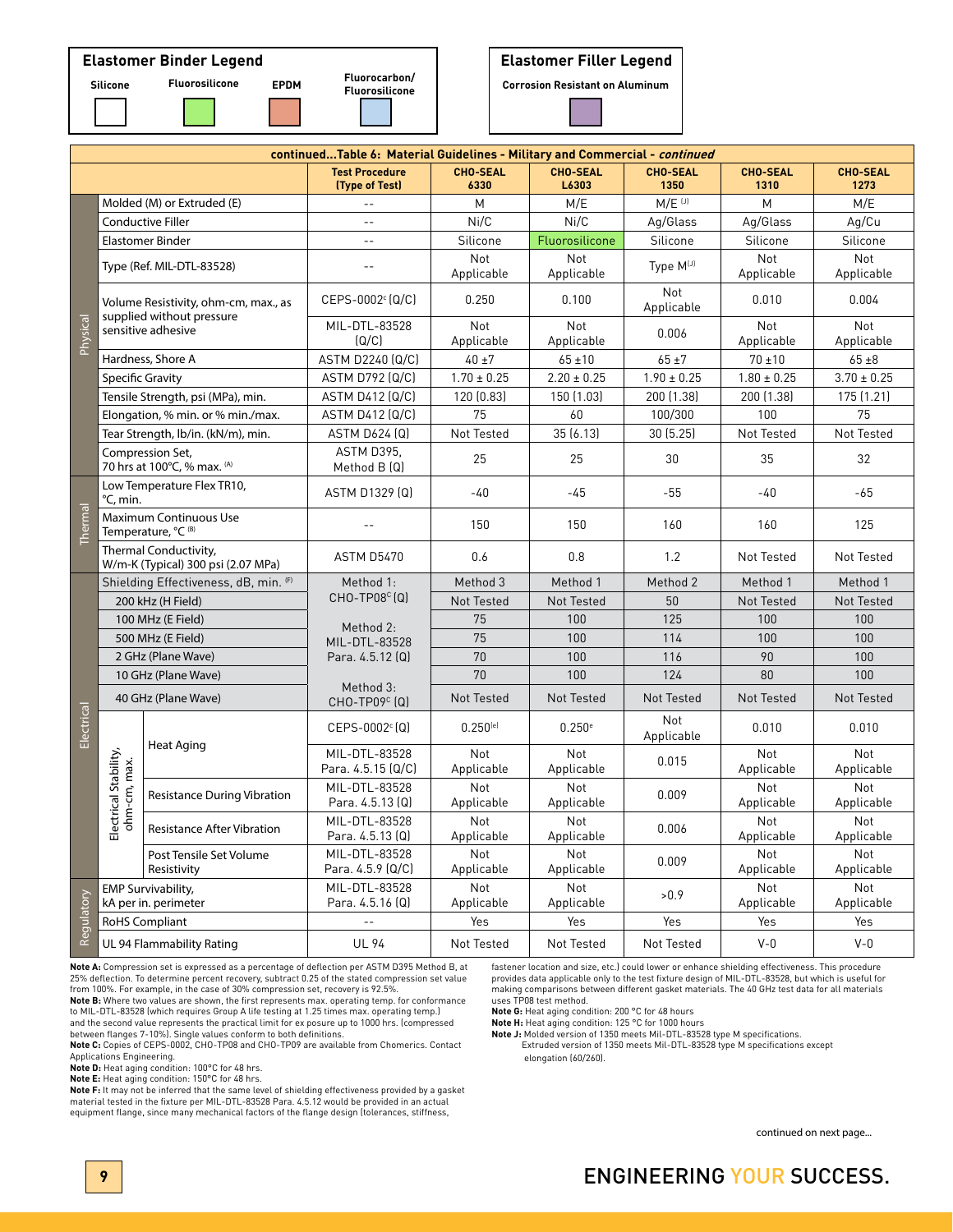# **Elastomer Binder Legend**



| ı<br>0<br>ıе<br>п<br>п<br>-<br>$\sim$ |  |  |
|---------------------------------------|--|--|
|                                       |  |  |
|                                       |  |  |
|                                       |  |  |

| Silicone | <b>Fluorosilicone</b> | <b>EPDM</b> | Fluorocarbon/<br><b>Fluorosilicone</b> |
|----------|-----------------------|-------------|----------------------------------------|
|          |                       |             |                                        |

# **Elastomer Filler Legend**

**Corrosion Resistant on Aluminum** 

|            |                                                             |                                                                   | continuedTable 6: Material Guidelines - Military and Commercial - continued |                          |                          |                         |                          |                         |
|------------|-------------------------------------------------------------|-------------------------------------------------------------------|-----------------------------------------------------------------------------|--------------------------|--------------------------|-------------------------|--------------------------|-------------------------|
|            |                                                             |                                                                   | <b>Test Procedure</b><br>(Type of Test)                                     | <b>CHO-SEAL</b><br>6330  | <b>CHO-SEAL</b><br>L6303 | <b>CHO-SEAL</b><br>1350 | <b>CHO-SEAL</b><br>1310  | <b>CHO-SEAL</b><br>1273 |
|            |                                                             | Molded (M) or Extruded (E)                                        | $\overline{a}$                                                              | M                        | M/E                      | $M/E$ <sup>[J]</sup>    | M                        | M/E                     |
|            |                                                             | <b>Conductive Filler</b>                                          | $\overline{a}$                                                              | Ni/C                     | Ni/C                     | Ag/Glass                | Ag/Glass                 | Aq/Cu                   |
|            |                                                             | <b>Elastomer Binder</b>                                           | $\sim$ $-$                                                                  | Silicone                 | Fluorosilicone           | Silicone                | Silicone                 | Silicone                |
|            |                                                             | Type (Ref. MIL-DTL-83528)                                         | $\sim$ $-$                                                                  | <b>Not</b><br>Applicable | <b>Not</b><br>Applicable | Type M(J)               | Not<br>Applicable        | Not<br>Applicable       |
|            |                                                             | Volume Resistivity, ohm-cm, max., as<br>supplied without pressure | CEPS-0002 <sup>c</sup> (Q/C)                                                | 0.250                    | 0.100                    | Not<br>Applicable       | 0.010                    | 0.004                   |
| Physical   |                                                             | sensitive adhesive                                                | MIL-DTL-83528<br>(Q/C)                                                      | Not<br>Applicable        | Not<br>Applicable        | 0.006                   | Not<br>Applicable        | Not<br>Applicable       |
|            |                                                             | Hardness, Shore A                                                 | ASTM D2240 (Q/C)                                                            | $40 \pm 7$               | $65 \pm 10$              | $65 + 7$                | $70 + 10$                | $65 \pm 8$              |
|            | <b>Specific Gravity</b>                                     |                                                                   | ASTM D792 (Q/C)                                                             | $1.70 \pm 0.25$          | $2.20 \pm 0.25$          | $1.90 \pm 0.25$         | $1.80 \pm 0.25$          | $3.70 \pm 0.25$         |
|            |                                                             | Tensile Strength, psi (MPa), min.                                 | <b>ASTM D412 (Q/C)</b>                                                      | 120 (0.83)               | 150 (1.03)               | 200 (1.38)              | 200 (1.38)               | 175 (1.21)              |
|            |                                                             | Elongation, % min. or % min./max.                                 | <b>ASTM D412 (Q/C)</b>                                                      | 75                       | 60                       | 100/300                 | 100                      | 75                      |
|            |                                                             | Tear Strength, lb/in. (kN/m), min.                                | <b>ASTM D624 (Q)</b>                                                        | Not Tested               | 35(6.13)                 | 30 (5.25)               | Not Tested               | Not Tested              |
|            |                                                             | Compression Set,<br>70 hrs at 100°C, % max. (A)                   | ASTM D395.<br>Method B (Q)                                                  | 25                       | 25                       | 30                      | 35                       | 32                      |
|            | °C, min.                                                    | Low Temperature Flex TR10,                                        | ASTM D1329 [Q]                                                              | $-40$                    | $-45$                    | $-55$                   | $-40$                    | $-65$                   |
| Thermal    | Maximum Continuous Use<br>Temperature, °C (B)               |                                                                   | $\overline{a}$                                                              | 150                      | 150                      | 160                     | 160                      | 125                     |
|            | Thermal Conductivity,<br>W/m-K (Typical) 300 psi (2.07 MPa) |                                                                   | <b>ASTM D5470</b>                                                           | 0.6                      | 0.8                      | 1.2                     | Not Tested               | Not Tested              |
|            |                                                             | Shielding Effectiveness, dB, min. (F)                             | Method 1:                                                                   | Method 3                 | Method 1                 | Method 2                | Method 1                 | Method 1                |
|            |                                                             | 200 kHz (H Field)                                                 | $CHO-TP08c(Q)$                                                              | <b>Not Tested</b>        | Not Tested               | 50                      | Not Tested               | Not Tested              |
|            |                                                             | 100 MHz (E Field)                                                 | Method 2:                                                                   | 75                       | 100                      | 125                     | 100                      | 100                     |
|            |                                                             | 500 MHz (E Field)                                                 | MIL-DTL-83528                                                               | 75                       | 100                      | 114                     | 100                      | 100                     |
|            |                                                             | 2 GHz (Plane Wave)                                                | Para. 4.5.12 (Q)                                                            | 70                       | 100                      | 116                     | 90                       | 100                     |
|            |                                                             | 10 GHz (Plane Wave)                                               |                                                                             | 70                       | 100                      | 124                     | 80                       | 100                     |
|            |                                                             | 40 GHz (Plane Wave)                                               | Method 3:<br>CHO-TP09 <sup>c</sup> (Q)                                      | <b>Not Tested</b>        | Not Tested               | <b>Not Tested</b>       | Not Tested               | Not Tested              |
| Electrical |                                                             | <b>Heat Aging</b>                                                 | $CEPS-0002c[Q]$                                                             | $0.250^{[e]}$            | 0.250e                   | Not<br>Applicable       | 0.010                    | 0.010                   |
|            |                                                             |                                                                   | MIL-DTL-83528<br>Para. 4.5.15 (Q/C)                                         | <b>Not</b><br>Applicable | Not<br>Applicable        | 0.015                   | Not<br>Applicable        | Not<br>Applicable       |
|            | Electrical Stability,<br>ohm-cm, max.                       | Resistance During Vibration                                       | MIL-DTL-83528<br>Para. 4.5.13 (Q)                                           | Not<br>Applicable        | Not<br>Applicable        | 0.009                   | Not<br>Applicable        | Not<br>Applicable       |
|            |                                                             | <b>Resistance After Vibration</b>                                 | MIL-DTL-83528<br>Para. 4.5.13 (Q)                                           | <b>Not</b><br>Applicable | <b>Not</b><br>Applicable | 0.006                   | <b>Not</b><br>Applicable | Not<br>Applicable       |
|            |                                                             | Post Tensile Set Volume<br>Resistivity                            | MIL-DTL-83528<br>Para. 4.5.9 (Q/C)                                          | Not<br>Applicable        | Not<br>Applicable        | 0.009                   | Not<br>Applicable        | Not<br>Applicable       |
| Regulatory |                                                             | <b>EMP Survivability,</b><br>kA per in. perimeter                 | MIL-DTL-83528<br>Para. 4.5.16 (Q)                                           | Not<br>Applicable        | Not<br>Applicable        | >0.9                    | Not<br>Applicable        | Not<br>Applicable       |
|            | <b>RoHS Compliant</b>                                       |                                                                   | $\overline{a}$                                                              | Yes                      | Yes                      | Yes                     | Yes                      | Yes                     |
|            |                                                             | UL 94 Flammability Rating                                         | <b>UL 94</b>                                                                | Not Tested               | Not Tested               | Not Tested              | $V - 0$                  | $V - 0$                 |

**Note A:** Compression set is expressed as a percentage of deflection per ASTM D395 Method B, at 25% deflection. To determine percent recovery, subtract 0.25 of the stated compression set value from 100%. For example, in the case of 30% compression set, recovery is 92.5%.

**Note B:** Where two values are shown, the first represents max. operating temp. for conformance to MIL-DTL-83528 (which requires Group A life testing at 1.25 times max. operating temp.) and the second value represents the practical limit for ex posure up to 1000 hrs. (compressed between flanges 7-10%). Single values conform to both definitions.

**Note C:** Copies of CEPS-0002, CHO-TP08 and CHO-TP09 are available from Chomerics. Contact Applications Engineering. **Note D:** Heat aging condition: 100°C for 48 hrs.

**Note E:** Heat aging condition: 150°C for 48 hrs. **Note F:** It may not be inferred that the same level of shielding effectiveness provided by a gasket material tested in the fixture per MIL-DTL-83528 Para. 4.5.12 would be provided in an actual equipment flange, since many mechanical factors of the flange design (tolerances, stiffness,

fastener location and size, etc.) could lower or enhance shielding effectiveness. This procedure provides data applicable only to the test fixture design of MIL-DTL-83528, but which is useful for making comparisons between different gasket materials. The 40 GHz test data for all materials uses TP08 test method.

**Note G:** Heat aging condition: 200 °C for 48 hours

**Note H:** Heat aging condition: 125 °C for 1000 hours

**Note J:** Molded version of 1350 meets Mil-DTL-83528 type M specifications. Extruded version of 1350 meets Mil-DTL-83528 type M specifications except elongation (60/260).

continued on next page...

# **9** ENGINEERING YOUR SUCCESS.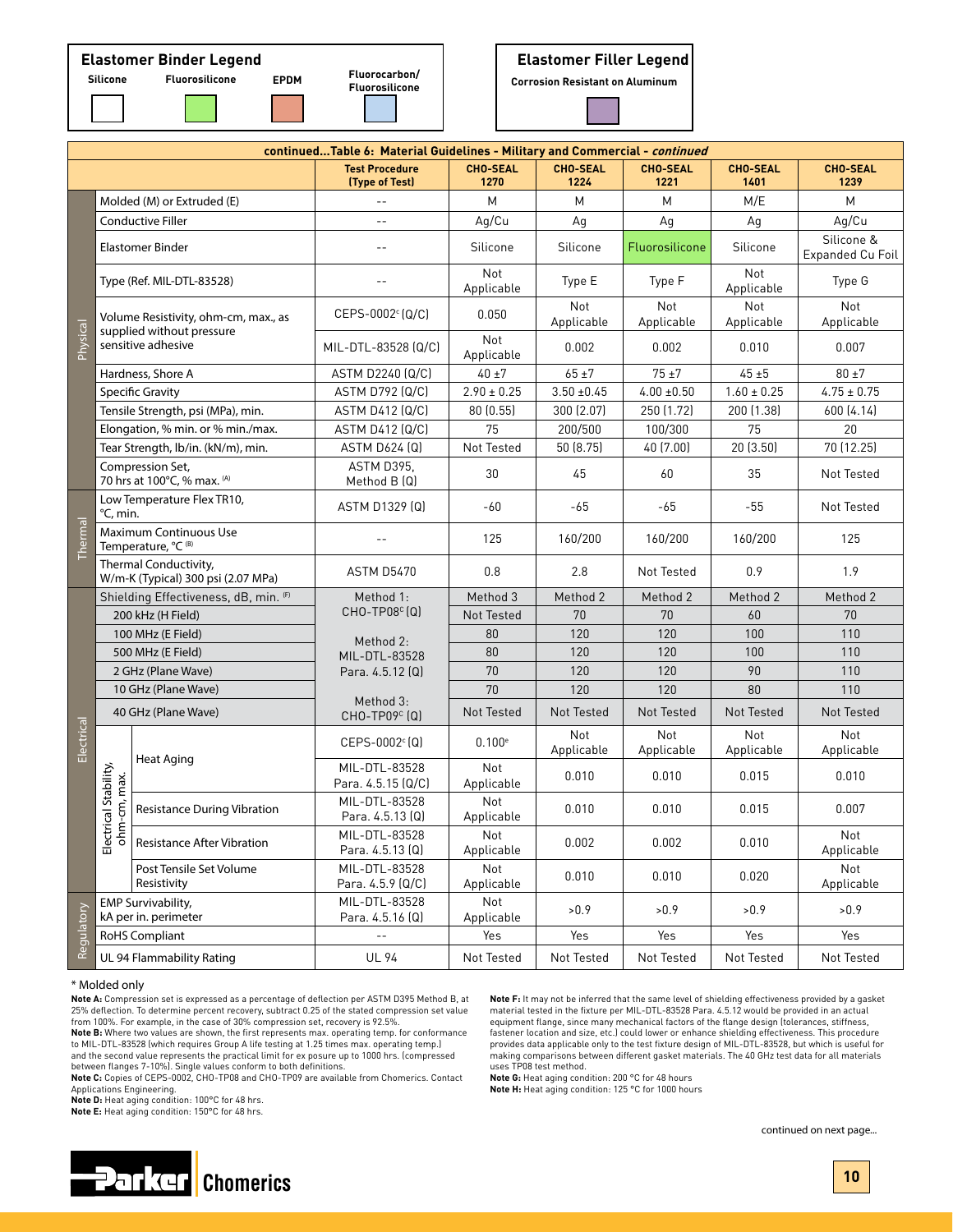# **Elastomer Binder Legend Elastomer Filler Legend**

**Fluorocarbon/**

**Fluorosilicone Silicone Fluorosilicone EPDM Corrosion Resistant on Aluminum**

|            |                                                             |                                                                   | continuedTable 6: Material Guidelines - Military and Commercial - continued |                         |                         |                         |                          |                                |
|------------|-------------------------------------------------------------|-------------------------------------------------------------------|-----------------------------------------------------------------------------|-------------------------|-------------------------|-------------------------|--------------------------|--------------------------------|
|            |                                                             |                                                                   | <b>Test Procedure</b><br>(Type of Test)                                     | <b>CHO-SEAL</b><br>1270 | <b>CHO-SEAL</b><br>1224 | <b>CHO-SEAL</b><br>1221 | <b>CHO-SEAL</b><br>1401  | <b>CHO-SEAL</b><br>1239        |
|            |                                                             | Molded (M) or Extruded (E)                                        |                                                                             | M                       | M                       | M                       | M/E                      | M                              |
|            | <b>Conductive Filler</b>                                    |                                                                   | $- -$                                                                       | Ag/Cu                   | Ag                      | Aq                      | Ag                       | Ag/Cu                          |
|            | <b>Elastomer Binder</b>                                     |                                                                   | $-$                                                                         | Silicone                | Silicone                | Fluorosilicone          | Silicone                 | Silicone &<br>Expanded Cu Foil |
|            |                                                             | Type (Ref. MIL-DTL-83528)                                         |                                                                             | Not<br>Applicable       | Type E                  | Type F                  | Not<br>Applicable        | Type G                         |
|            |                                                             | Volume Resistivity, ohm-cm, max., as<br>supplied without pressure | CEPS-0002 [Q/C]                                                             | 0.050                   | Not<br>Applicable       | Not<br>Applicable       | <b>Not</b><br>Applicable | Not<br>Applicable              |
| Physical   |                                                             | sensitive adhesive                                                | MIL-DTL-83528 (Q/C)                                                         | Not<br>Applicable       | 0.002                   | 0.002                   | 0.010                    | 0.007                          |
|            |                                                             | Hardness, Shore A                                                 | ASTM D2240 (Q/C)                                                            | $40 \pm 7$              | $65 + 7$                | $75 + 7$                | $45 + 5$                 | $80 \pm 7$                     |
|            |                                                             | <b>Specific Gravity</b>                                           | ASTM D792 (Q/C)                                                             | $2.90 \pm 0.25$         | $3.50 + 0.45$           | $4.00 \pm 0.50$         | $1.60 \pm 0.25$          | $4.75 \pm 0.75$                |
|            |                                                             | Tensile Strength, psi (MPa), min.                                 | ASTM D412 (Q/C)                                                             | 80 (0.55)               | 300 (2.07)              | 250 (1.72)              | 200 (1.38)               | 600 (4.14)                     |
|            |                                                             | Elongation, % min. or % min./max.                                 | <b>ASTM D412 (Q/C)</b>                                                      | 75                      | 200/500                 | 100/300                 | 75                       | 20                             |
|            |                                                             | Tear Strength, lb/in. (kN/m), min.                                | <b>ASTM D624 (Q)</b>                                                        | Not Tested              | 50 (8.75)               | 40 (7.00)               | 20(3.50)                 | 70 (12.25)                     |
|            |                                                             | Compression Set,<br>70 hrs at 100°C, % max. (A)                   | ASTM D395.<br>Method B (Q)                                                  | 30                      | 45                      | 60                      | 35                       | Not Tested                     |
|            | Low Temperature Flex TR10,<br>°C, min.                      |                                                                   | ASTM D1329 (Q)                                                              | $-60$                   | -65                     | $-65$                   | $-55$                    | Not Tested                     |
| Thermal    | Maximum Continuous Use<br>Temperature, °C (B)               |                                                                   |                                                                             | 125                     | 160/200                 | 160/200                 | 160/200                  | 125                            |
|            | Thermal Conductivity,<br>W/m-K (Typical) 300 psi (2.07 MPa) |                                                                   | <b>ASTM D5470</b>                                                           | 0.8                     | 2.8                     | Not Tested              | 0.9                      | 1.9                            |
|            |                                                             | Shielding Effectiveness, dB, min. (F)                             | Method 1:                                                                   | Method 3                | Method 2                | Method 2                | Method 2                 | Method 2                       |
|            |                                                             | 200 kHz (H Field)                                                 | $CHO-TPO8c(Q)$                                                              | Not Tested              | 70                      | 70                      | 60                       | 70                             |
|            |                                                             | 100 MHz (E Field)                                                 | Method 2:                                                                   | 80                      | 120                     | 120                     | 100                      | 110                            |
|            |                                                             | 500 MHz (E Field)                                                 | MIL-DTL-83528                                                               | 80                      | 120                     | 120                     | 100                      | 110                            |
|            |                                                             | 2 GHz (Plane Wave)                                                | Para. 4.5.12 (Q)                                                            | 70                      | 120                     | 120                     | 90                       | 110                            |
|            |                                                             | 10 GHz (Plane Wave)                                               | Method 3:                                                                   | 70                      | 120                     | 120                     | 80                       | 110                            |
|            |                                                             | 40 GHz (Plane Wave)                                               | CHO-TP09 <sup>c</sup> (Q)                                                   | Not Tested              | Not Tested              | Not Tested              | Not Tested               | Not Tested                     |
| Electrical |                                                             | <b>Heat Aging</b>                                                 | $CEPS-0002c$ <sup>c</sup> $(Q)$                                             | 0.100e                  | Not<br>Applicable       | Not<br>Applicable       | Not<br>Applicable        | Not<br>Applicable              |
|            |                                                             |                                                                   | MIL-DTL-83528<br>Para. 4.5.15 (Q/C)                                         | Not<br>Applicable       | 0.010                   | 0.010                   | 0.015                    | 0.010                          |
|            | Electrical Stability,<br>ohm-cm, max.                       | <b>Resistance During Vibration</b>                                | MIL-DTL-83528<br>Para. 4.5.13 (Q)                                           | Not<br>Applicable       | 0.010                   | 0.010                   | 0.015                    | 0.007                          |
|            |                                                             | <b>Resistance After Vibration</b>                                 | MIL-DTL-83528<br>Para. 4.5.13 (Q)                                           | Not<br>Applicable       | 0.002                   | 0.002                   | 0.010                    | Not<br>Applicable              |
|            |                                                             | Post Tensile Set Volume<br>Resistivity                            | MIL-DTL-83528<br>Para. 4.5.9 (Q/C)                                          | Not<br>Applicable       | 0.010                   | 0.010                   | 0.020                    | Not<br>Applicable              |
| Regulatory |                                                             | <b>EMP Survivability.</b><br>kA per in. perimeter                 | MIL-DTL-83528<br>Para. 4.5.16 (Q)                                           | Not<br>Applicable       | >0.9                    | >0.9                    | >0.9                     | >0.9                           |
|            |                                                             | <b>RoHS Compliant</b>                                             | $\overline{a}$                                                              | Yes                     | Yes                     | Yes                     | Yes                      | Yes                            |
|            |                                                             | UL 94 Flammability Rating                                         | <b>UL 94</b>                                                                | Not Tested              | Not Tested              | Not Tested              | Not Tested               | Not Tested                     |

#### \* Molded only

**Note A:** Compression set is expressed as a percentage of deflection per ASTM D395 Method B, at 25% deflection. To determine percent recovery, subtract 0.25 of the stated compression set value from 100%. For example, in the case of 30% compression set, recovery is 92.5%.

**Note B:** Where two values are shown, the first represents max. operating temp. for conformance to MIL-DTL-83528 (which requires Group A life testing at 1.25 times max. operating temp.) and the second value represents the practical limit for ex posure up to 1000 hrs. (compressed

between flanges 7-10%). Single values conform to both definitions. **Note C:** Copies of CEPS-0002, CHO-TP08 and CHO-TP09 are available from Chomerics. Contact Applications Engineering.

**Note D:** Heat aging condition: 100°C for 48 hrs.

**Note E:** Heat aging condition: 150°C for 48 hrs.

**Note F:** It may not be inferred that the same level of shielding effectiveness provided by a gasket material tested in the fixture per MIL-DTL-83528 Para. 4.5.12 would be provided in an actual equipment flange, since many mechanical factors of the flange design (tolerances, stiffness, fastener location and size, etc.) could lower or enhance shielding effectiveness. This procedure provides data applicable only to the test fixture design of MIL-DTL-83528, but which is useful for making comparisons between different gasket materials. The 40 GHz test data for all materials uses TP08 test method.

**Note G:** Heat aging condition: 200 °C for 48 hours **Note H:** Heat aging condition: 125 °C for 1000 hours



continued on next page...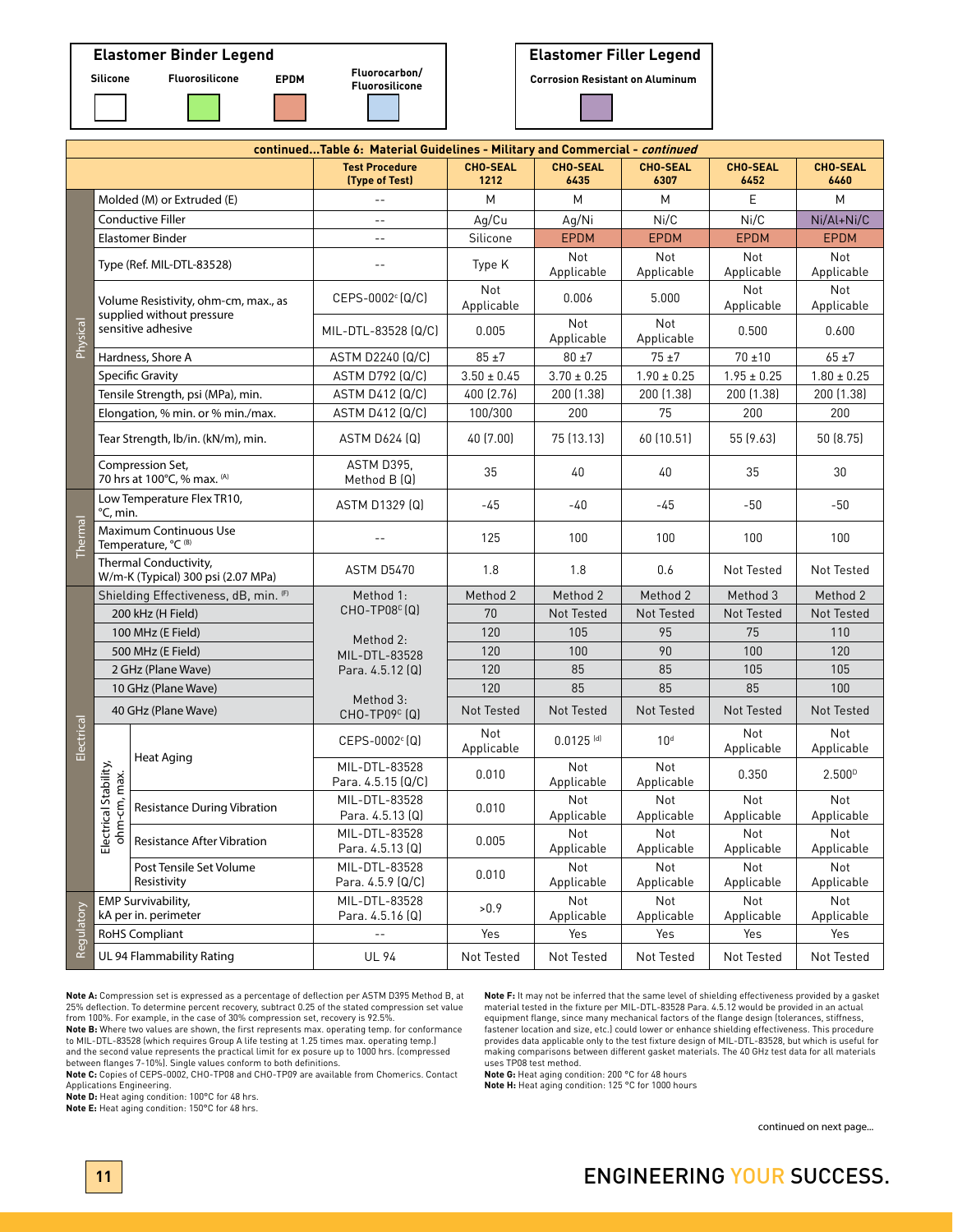# **Fluorosilicone Silicone Fluorosilicone EPDM Corrosion Resistant on Aluminum Elastomer Binder Legend Elastomer Filler Legend**

**Fluorocarbon/**

| continuedTable 6: Material Guidelines - Military and Commercial - continued |                                                             |                                                                   |                                         |                         |                          |                         |                         |                         |
|-----------------------------------------------------------------------------|-------------------------------------------------------------|-------------------------------------------------------------------|-----------------------------------------|-------------------------|--------------------------|-------------------------|-------------------------|-------------------------|
|                                                                             |                                                             |                                                                   | <b>Test Procedure</b><br>(Type of Test) | <b>CHO-SEAL</b><br>1212 | <b>CHO-SEAL</b><br>6435  | <b>CHO-SEAL</b><br>6307 | <b>CHO-SEAL</b><br>6452 | <b>CHO-SEAL</b><br>6460 |
| Physical                                                                    | Molded (M) or Extruded (E)                                  |                                                                   | $-$                                     | M                       | M                        | M                       | E                       | M                       |
|                                                                             | <b>Conductive Filler</b>                                    |                                                                   | $-$                                     | Ag/Cu                   | Aq/Ni                    | Ni/C                    | Ni/C                    | Ni/Al+Ni/C              |
|                                                                             | <b>Elastomer Binder</b>                                     |                                                                   | $-$                                     | Silicone                | <b>EPDM</b>              | <b>EPDM</b>             | <b>EPDM</b>             | <b>EPDM</b>             |
|                                                                             | Type (Ref. MIL-DTL-83528)                                   |                                                                   | $ -$                                    | Type K                  | Not<br>Applicable        | Not<br>Applicable       | Not<br>Applicable       | Not<br>Applicable       |
|                                                                             |                                                             | Volume Resistivity, ohm-cm, max., as<br>supplied without pressure | $CEPS-0002c (Q/C)$                      | Not<br>Applicable       | 0.006                    | 5.000                   | Not<br>Applicable       | Not<br>Applicable       |
|                                                                             | sensitive adhesive                                          |                                                                   | MIL-DTL-83528 (Q/C)                     | 0.005                   | Not<br>Applicable        | Not<br>Applicable       | 0.500                   | 0.600                   |
|                                                                             | Hardness, Shore A                                           |                                                                   | ASTM D2240 (Q/C)                        | $85 + 7$                | $80 \pm 7$               | $75 + 7$                | $70 + 10$               | $65 + 7$                |
|                                                                             | <b>Specific Gravity</b>                                     |                                                                   | <b>ASTM D792 (Q/C)</b>                  | $3.50 \pm 0.45$         | $3.70 \pm 0.25$          | $1.90 \pm 0.25$         | $1.95 \pm 0.25$         | $1.80 \pm 0.25$         |
|                                                                             | Tensile Strength, psi (MPa), min.                           |                                                                   | <b>ASTM D412 (Q/C)</b>                  | 400 (2.76)              | 200 (1.38)               | 200 (1.38)              | 200 (1.38)              | 200 (1.38)              |
|                                                                             |                                                             | Elongation, % min. or % min./max.                                 | <b>ASTM D412 (Q/C)</b>                  | 100/300                 | 200                      | 75                      | 200                     | 200                     |
|                                                                             | Tear Strength, Ib/in. (kN/m), min.                          |                                                                   | ASTM D624 (Q)                           | 40 (7.00)               | 75 (13.13)               | 60 (10.51)              | 55 (9.63)               | 50 (8.75)               |
|                                                                             | Compression Set,<br>70 hrs at 100°C, % max. (A)             |                                                                   | ASTM D395,<br>Method $B(Q)$             | 35                      | 40                       | 40                      | 35                      | 30                      |
| Thermal                                                                     | Low Temperature Flex TR10,<br>°C, min.                      |                                                                   | ASTM D1329 (Q)                          | -45                     | -40                      | -45                     | $-50$                   | $-50$                   |
|                                                                             | Maximum Continuous Use<br>Temperature, °C <sup>(B)</sup>    |                                                                   | $\sim$ $\sim$                           | 125                     | 100                      | 100                     | 100                     | 100                     |
|                                                                             | Thermal Conductivity,<br>W/m-K (Typical) 300 psi (2.07 MPa) |                                                                   | <b>ASTM D5470</b>                       | 1.8                     | 1.8                      | 0.6                     | Not Tested              | Not Tested              |
|                                                                             | Shielding Effectiveness, dB, min. (F)                       |                                                                   | Method 1:<br>CHO-TP08 <sup>c</sup> (Q)  | Method 2                | Method 2                 | Method 2                | Method 3                | Method 2                |
|                                                                             | 200 kHz (H Field)                                           |                                                                   |                                         | 70                      | Not Tested               | Not Tested              | Not Tested              | Not Tested              |
|                                                                             | 100 MHz (E Field)                                           |                                                                   | Method 2:                               | 120                     | 105                      | 95                      | 75                      | 110                     |
|                                                                             |                                                             | 500 MHz (E Field)                                                 | MIL-DTL-83528                           | 120                     | 100                      | 90                      | 100                     | 120                     |
|                                                                             | 2 GHz (Plane Wave)                                          |                                                                   | Para. 4.5.12 (Q)                        | 120                     | 85                       | 85                      | 105                     | 105                     |
|                                                                             |                                                             | 10 GHz (Plane Wave)                                               | Method 3:                               | 120                     | 85                       | 85                      | 85                      | 100                     |
|                                                                             | 40 GHz (Plane Wave)                                         |                                                                   | CHO-TP09 <sup>c</sup> (Q)               | <b>Not Tested</b>       | Not Tested               | Not Tested              | Not Tested              | Not Tested              |
| Electrical                                                                  | Electrical Stability,<br>ohm-cm, max.                       | Heat Aging                                                        | $CEPS-0002^c$ (Q)                       | Not<br>Applicable       | $0.0125$ <sup>[d]</sup>  | 10 <sup>d</sup>         | Not<br>Applicable       | Not<br>Applicable       |
|                                                                             |                                                             |                                                                   | MIL-DTL-83528<br>Para. 4.5.15 (Q/C)     | 0.010                   | Not<br>Applicable        | Not<br>Applicable       | 0.350                   | 2.500 <sup>D</sup>      |
|                                                                             |                                                             | <b>Resistance During Vibration</b>                                | MIL-DTL-83528<br>Para. 4.5.13 (Q)       | 0.010                   | Not<br>Applicable        | Not<br>Applicable       | Not<br>Applicable       | Not<br>Applicable       |
|                                                                             |                                                             | <b>Resistance After Vibration</b>                                 | MIL-DTL-83528<br>Para. 4.5.13 (Q)       | 0.005                   | Not<br>Applicable        | Not<br>Applicable       | Not<br>Applicable       | Not<br>Applicable       |
|                                                                             |                                                             | Post Tensile Set Volume<br>Resistivity                            | MIL-DTL-83528<br>Para. 4.5.9 (Q/C)      | 0.010                   | <b>Not</b><br>Applicable | Not<br>Applicable       | Not<br>Applicable       | Not<br>Applicable       |
|                                                                             | <b>EMP Survivability,</b><br>kA per in. perimeter           |                                                                   | MIL-DTL-83528<br>Para. 4.5.16 (Q)       | >0.9                    | Not<br>Applicable        | Not<br>Applicable       | Not<br>Applicable       | Not<br>Applicable       |
| Regulatory                                                                  | <b>RoHS Compliant</b>                                       |                                                                   | $\overline{a}$                          | Yes                     | Yes                      | Yes                     | Yes                     | Yes                     |
|                                                                             | UL 94 Flammability Rating                                   |                                                                   | <b>UL 94</b>                            | Not Tested              | Not Tested               | Not Tested              | Not Tested              | Not Tested              |

**Note A:** Compression set is expressed as a percentage of deflection per ASTM D395 Method B, at 25% deflection. To determine percent recovery, subtract 0.25 of the stated compression set value from 100%. For example, in the case of 30% compression set, recovery is 92.5%.

**Note B:** Where two values are shown, the first represents max. operating temp. for conformance to MIL-DTL-83528 (which requires Group A life testing at 1.25 times max. operating temp.) and the second value represents the practical limit for ex posure up to 1000 hrs. (compressed between flanges 7-10%). Single values conform to both definitions.

**Note C:** Copies of CEPS-0002, CHO-TP08 and CHO-TP09 are available from Chomerics. Contact Applications Engineering.

**Note D:** Heat aging condition: 100°C for 48 hrs.

**Note E:** Heat aging condition: 150°C for 48 hrs.

**Note F:** It may not be inferred that the same level of shielding effectiveness provided by a gasket material tested in the fixture per MIL-DTL-83528 Para. 4.5.12 would be provided in an actual equipment flange, since many mechanical factors of the flange design (tolerances, stiffness, fastener location and size, etc.) could lower or enhance shielding effectiveness. This procedure provides data applicable only to the test fixture design of MIL-DTL-83528, but which is useful for making comparisons between different gasket materials. The 40 GHz test data for all materials uses TP08 test method.

**Note G:** Heat aging condition: 200 °C for 48 hours **Note H:** Heat aging condition: 125 °C for 1000 hours

continued on next page...

# **11** ENGINEERING YOUR SUCCESS.

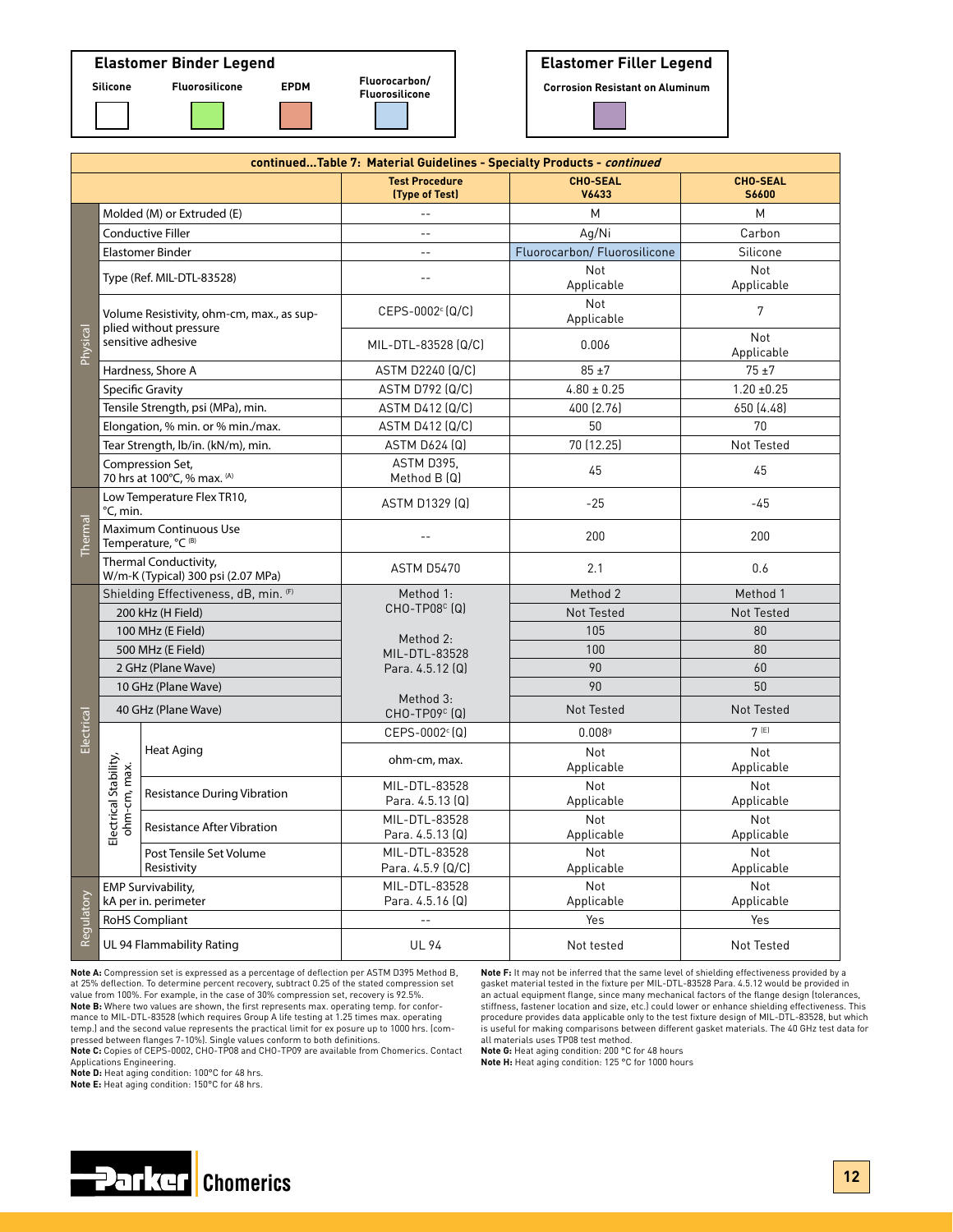

|                | Fluorocarbon/ |  |  |  |  |
|----------------|---------------|--|--|--|--|
| Fluorosilicone |               |  |  |  |  |
|                |               |  |  |  |  |
|                |               |  |  |  |  |
|                |               |  |  |  |  |



| continuedTable 7: Material Guidelines - Specialty Products - continued |                                                                                                                        |                                                                        |                                         |                              |                          |  |
|------------------------------------------------------------------------|------------------------------------------------------------------------------------------------------------------------|------------------------------------------------------------------------|-----------------------------------------|------------------------------|--------------------------|--|
|                                                                        |                                                                                                                        |                                                                        | <b>Test Procedure</b><br>(Type of Test) | <b>CHO-SEAL</b><br>V6433     | <b>CHO-SEAL</b><br>S6600 |  |
|                                                                        | Molded (M) or Extruded (E)                                                                                             |                                                                        | $\overline{a}$                          | M                            | М                        |  |
|                                                                        |                                                                                                                        | <b>Conductive Filler</b>                                               | $\sim$                                  | Ag/Ni                        | Carbon                   |  |
|                                                                        | Elastomer Binder                                                                                                       |                                                                        | $-$                                     | Fluorocarbon/ Fluorosilicone | Silicone                 |  |
|                                                                        | Type (Ref. MIL-DTL-83528)<br>Volume Resistivity, ohm-cm, max., as sup-<br>plied without pressure<br>sensitive adhesive |                                                                        | $-$                                     | Not<br>Applicable            | Not<br>Applicable        |  |
|                                                                        |                                                                                                                        |                                                                        | CEPS-0002 <sup>c</sup> (Q/C)            | Not<br>Applicable            | 7                        |  |
| Physical                                                               |                                                                                                                        |                                                                        | MIL-DTL-83528 (Q/C)                     | 0.006                        | Not<br>Applicable        |  |
|                                                                        | Hardness, Shore A                                                                                                      |                                                                        | ASTM D2240 (Q/C)                        | $85 + 7$                     | $75 + 7$                 |  |
|                                                                        | Specific Gravity                                                                                                       |                                                                        | <b>ASTM D792 (Q/C)</b>                  | $4.80 \pm 0.25$              | $1.20 \pm 0.25$          |  |
|                                                                        | Tensile Strength, psi (MPa), min.                                                                                      |                                                                        | ASTM D412 (Q/C)                         | 400 (2.76)                   | 650 (4.48)               |  |
|                                                                        | Elongation, % min. or % min./max.                                                                                      |                                                                        | <b>ASTM D412 (Q/C)</b>                  | 50                           | 70                       |  |
|                                                                        |                                                                                                                        | Tear Strength, lb/in. (kN/m), min.                                     | ASTM D624 (Q)                           | 70 (12.25)                   | Not Tested               |  |
|                                                                        | Compression Set,<br>70 hrs at 100°C, % max. (A)                                                                        |                                                                        | ASTM D395.<br>Method $B(Q)$             | 45                           | 45                       |  |
|                                                                        | Low Temperature Flex TR10,<br>°C, min.                                                                                 |                                                                        | ASTM D1329 (Q)                          | $-25$                        | $-45$                    |  |
| Thermal                                                                | Maximum Continuous Use<br>Temperature, °C (B)                                                                          |                                                                        |                                         | 200                          | 200                      |  |
|                                                                        | Thermal Conductivity,<br>W/m-K (Typical) 300 psi (2.07 MPa)                                                            |                                                                        | <b>ASTM D5470</b>                       | 2.1                          | 0.6                      |  |
|                                                                        | Shielding Effectiveness, dB, min. (F)<br>200 kHz (H Field)<br>100 MHz (E Field)                                        |                                                                        | Method 1:                               | Method 2                     | Method 1                 |  |
|                                                                        |                                                                                                                        |                                                                        | $CHO-TPO8c (Q)$                         | Not Tested                   | Not Tested               |  |
|                                                                        |                                                                                                                        |                                                                        | Method 2:                               | 105                          | 80                       |  |
|                                                                        |                                                                                                                        | 500 MHz (E Field)                                                      | MIL-DTL-83528                           | 100                          | 80                       |  |
|                                                                        | 2 GHz (Plane Wave)                                                                                                     |                                                                        | Para. 4.5.12 (Q)                        | 90                           | 60                       |  |
|                                                                        | 10 GHz (Plane Wave)                                                                                                    |                                                                        |                                         | 90                           | 50                       |  |
|                                                                        | 40 GHz (Plane Wave)                                                                                                    |                                                                        | Method 3:<br>CHO-TP09 <sup>c</sup> (Q)  | Not Tested                   | Not Tested               |  |
| Electrical                                                             |                                                                                                                        |                                                                        | CEPS-0002 <sup>c</sup> (Q)              | 0.0089                       | 7(E)                     |  |
|                                                                        | Electrical Stability,<br>ohm-cm, max.                                                                                  | Heat Aging                                                             | ohm-cm, max.                            | Not<br>Applicable            | Not<br>Applicable        |  |
|                                                                        |                                                                                                                        | <b>Resistance During Vibration</b>                                     | MIL-DTL-83528<br>Para. 4.5.13 (Q)       | Not<br>Applicable            | Not<br>Applicable        |  |
|                                                                        |                                                                                                                        | MIL-DTL-83528<br><b>Resistance After Vibration</b><br>Para. 4.5.13 (Q) |                                         | Not<br>Applicable            | Not<br>Applicable        |  |
|                                                                        |                                                                                                                        | Post Tensile Set Volume<br>Resistivity                                 | MIL-DTL-83528<br>Para. 4.5.9 (Q/C)      | Not<br>Applicable            | Not<br>Applicable        |  |
|                                                                        | <b>EMP Survivability,</b><br>kA per in. perimeter                                                                      |                                                                        | MIL-DTL-83528<br>Para. 4.5.16 (Q)       | Not<br>Applicable            | Not<br>Applicable        |  |
| Regulatory                                                             | RoHS Compliant                                                                                                         |                                                                        | $\overline{a}$                          | Yes                          | Yes                      |  |
|                                                                        | UL 94 Flammability Rating                                                                                              |                                                                        | <b>UL 94</b>                            | Not tested                   | Not Tested               |  |

**Note A:** Compression set is expressed as a percentage of deflection per ASTM D395 Method B, at 25% deflection. To determine percent recovery, subtract 0.25 of the stated compression set value from 100%. For example, in the case of 30% compression set, recovery is 92.5%. **Note B:** Where two values are shown, the first represents max. operating temp. for conformance to MIL-DTL-83528 (which requires Group A life testing at 1.25 times max. operating temp.) and the second value represents the practical limit for ex posure up to 1000 hrs. (com-pressed between flanges 7-10%). Single values conform to both definitions.

**Note C:** Copies of CEPS-0002, CHO-TP08 and CHO-TP09 are available from Chomerics. Contact

Applications Engineering. **Note D:** Heat aging condition: 100°C for 48 hrs.

**Note E:** Heat aging condition: 150°C for 48 hrs.



**Note F:** It may not be inferred that the same level of shielding effectiveness provided by a gasket material tested in the fixture per MIL-DTL-83528 Para. 4.5.12 would be provided in an actual equipment flange, since many mechanical factors of the flange design (tolerances, stiffness, fastener location and size, etc.) could lower or enhance shielding effectiveness. This procedure provides data applicable only to the test fixture design of MIL-DTL-83528, but which is useful for making comparisons between different gasket materials. The 40 GHz test data for all materials uses TP08 test method.

**Note G:** Heat aging condition: 200 °C for 48 hours **Note H:** Heat aging condition: 125 °C for 1000 hours